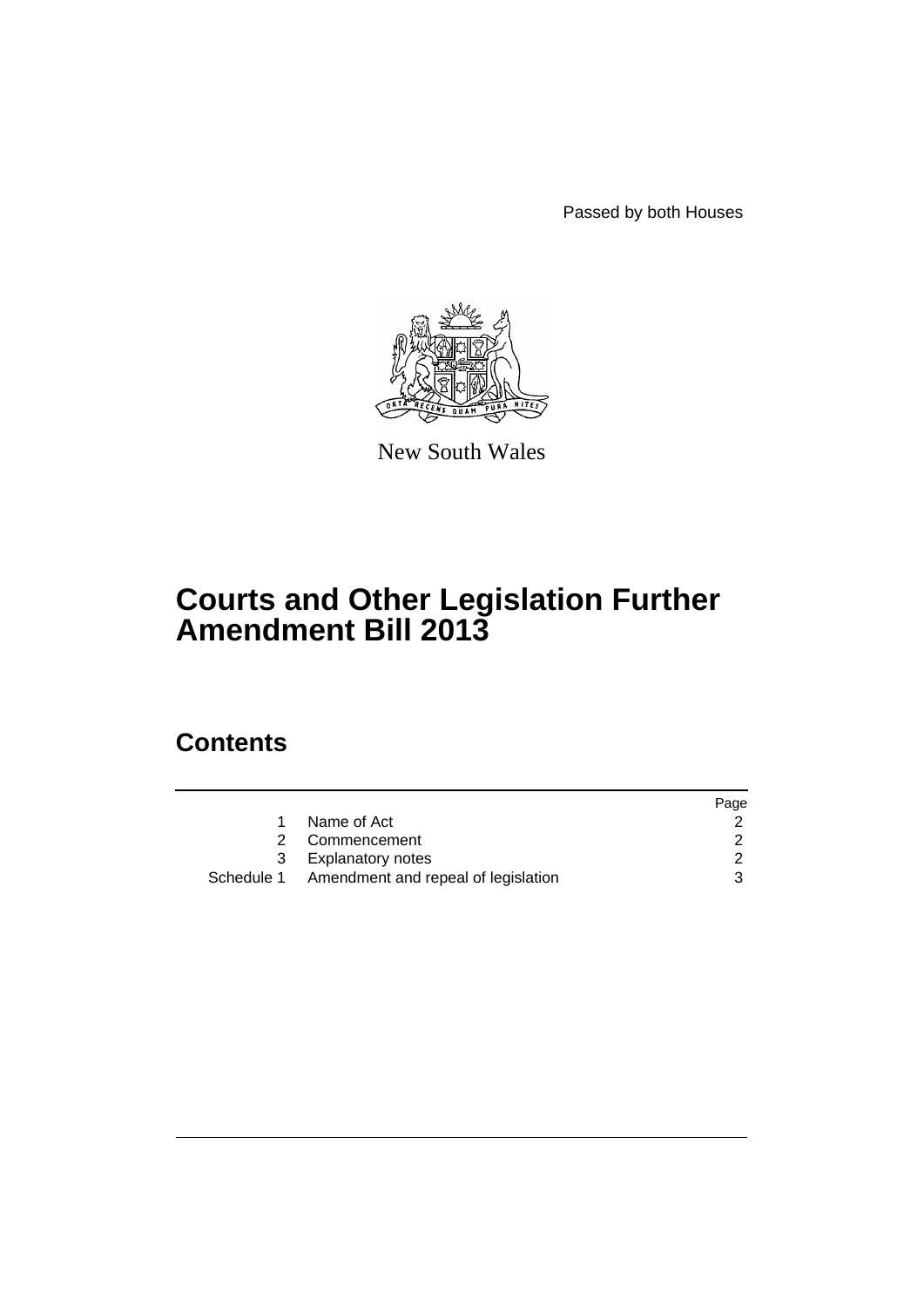Passed by both Houses



New South Wales

# **Courts and Other Legislation Further Amendment Bill 2013**

# **Contents**

|   |                                                | Page |
|---|------------------------------------------------|------|
|   | Name of Act                                    |      |
| 2 | Commencement                                   |      |
| 3 | Explanatory notes                              |      |
|   | Schedule 1 Amendment and repeal of legislation |      |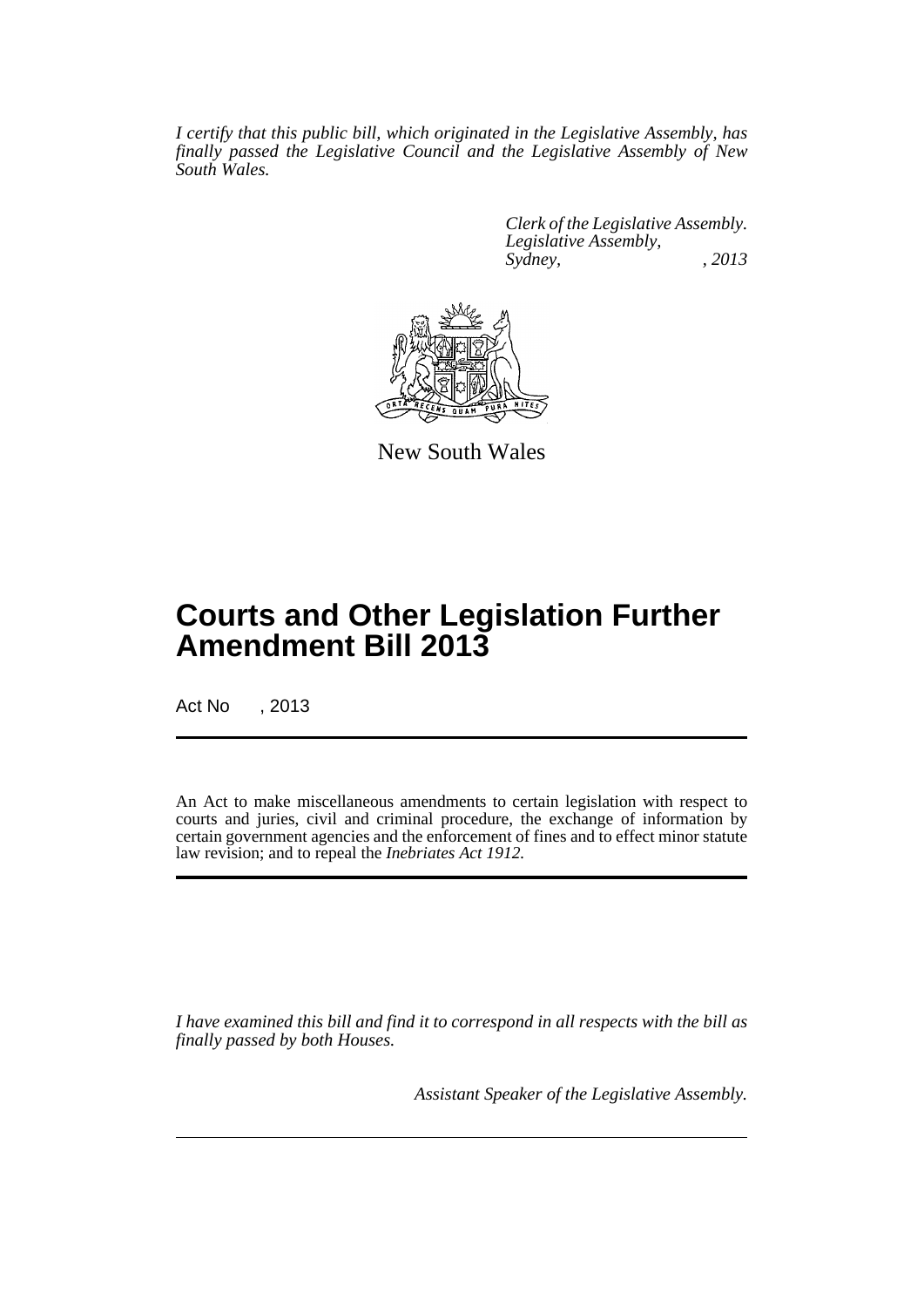*I certify that this public bill, which originated in the Legislative Assembly, has finally passed the Legislative Council and the Legislative Assembly of New South Wales.*

> *Clerk of the Legislative Assembly. Legislative Assembly, Sydney, , 2013*



New South Wales

# **Courts and Other Legislation Further Amendment Bill 2013**

Act No , 2013

An Act to make miscellaneous amendments to certain legislation with respect to courts and juries, civil and criminal procedure, the exchange of information by certain government agencies and the enforcement of fines and to effect minor statute law revision; and to repeal the *Inebriates Act 1912.*

*I have examined this bill and find it to correspond in all respects with the bill as finally passed by both Houses.*

*Assistant Speaker of the Legislative Assembly.*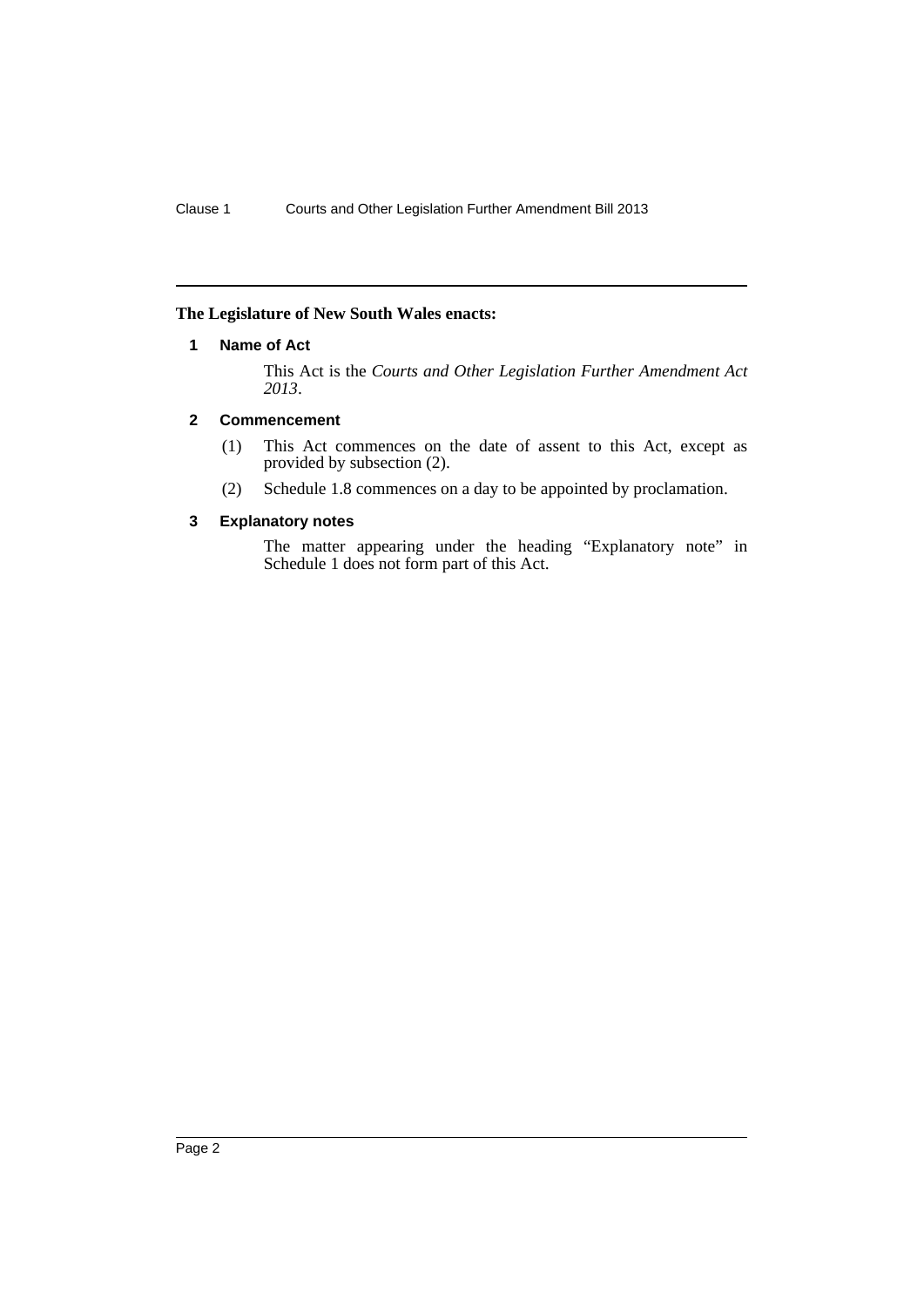# <span id="page-3-0"></span>**The Legislature of New South Wales enacts:**

## **1 Name of Act**

This Act is the *Courts and Other Legislation Further Amendment Act 2013*.

## <span id="page-3-1"></span>**2 Commencement**

- (1) This Act commences on the date of assent to this Act, except as provided by subsection (2).
- (2) Schedule 1.8 commences on a day to be appointed by proclamation.

# <span id="page-3-2"></span>**3 Explanatory notes**

The matter appearing under the heading "Explanatory note" in Schedule 1 does not form part of this Act.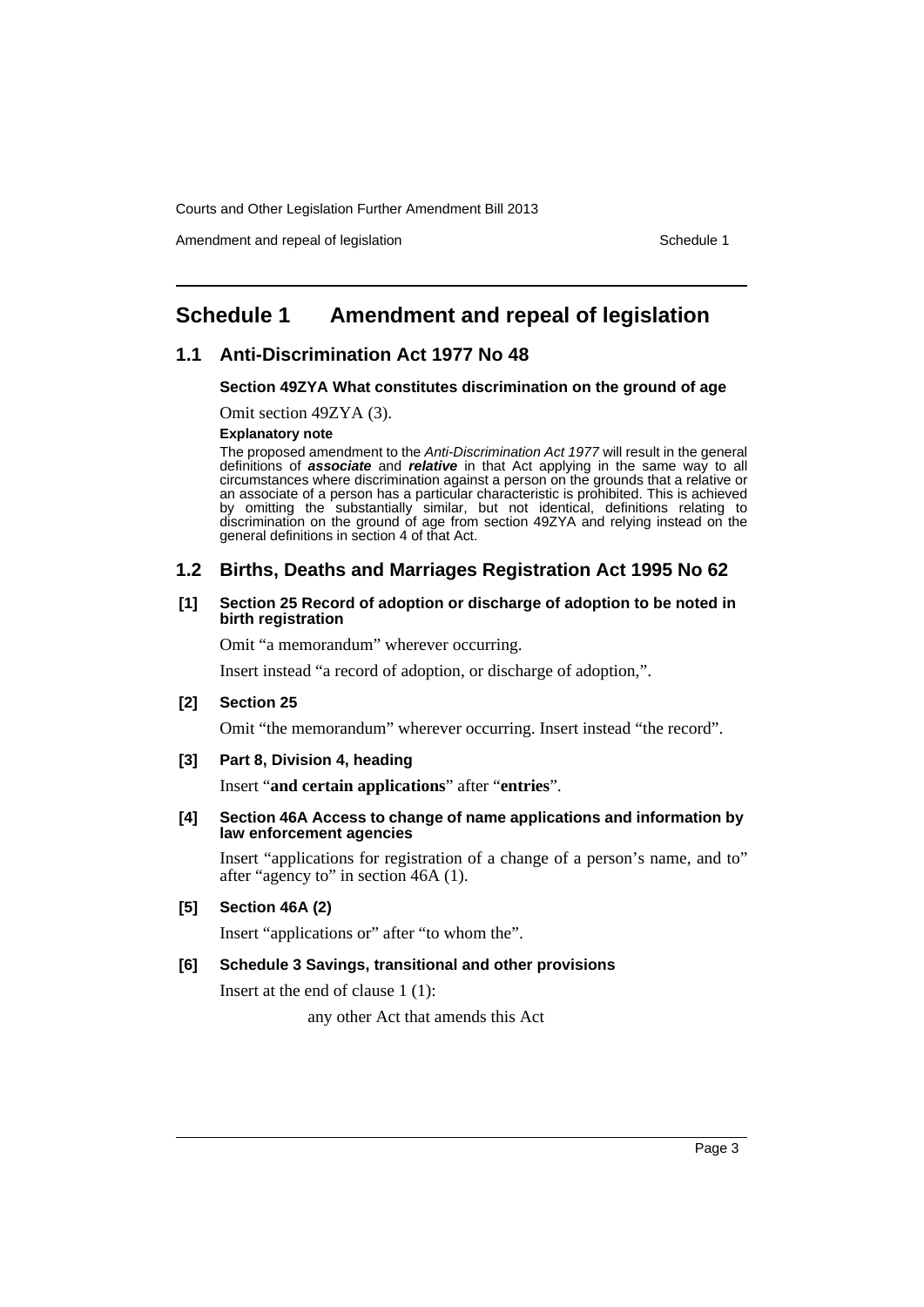Amendment and repeal of legislation Schedule 1 and Schedule 1

# <span id="page-4-0"></span>**Schedule 1 Amendment and repeal of legislation**

# **1.1 Anti-Discrimination Act 1977 No 48**

### **Section 49ZYA What constitutes discrimination on the ground of age**

Omit section 49ZYA (3).

**Explanatory note**

The proposed amendment to the *Anti-Discrimination Act 1977* will result in the general definitions of *associate* and *relative* in that Act applying in the same way to all circumstances where discrimination against a person on the grounds that a relative or an associate of a person has a particular characteristic is prohibited. This is achieved by omitting the substantially similar, but not identical, definitions relating to discrimination on the ground of age from section 49ZYA and relying instead on the general definitions in section 4 of that Act.

# **1.2 Births, Deaths and Marriages Registration Act 1995 No 62**

### **[1] Section 25 Record of adoption or discharge of adoption to be noted in birth registration**

Omit "a memorandum" wherever occurring.

Insert instead "a record of adoption, or discharge of adoption,".

## **[2] Section 25**

Omit "the memorandum" wherever occurring. Insert instead "the record".

### **[3] Part 8, Division 4, heading**

Insert "**and certain applications**" after "**entries**".

### **[4] Section 46A Access to change of name applications and information by law enforcement agencies**

Insert "applications for registration of a change of a person's name, and to" after "agency to" in section 46A (1).

### **[5] Section 46A (2)**

Insert "applications or" after "to whom the".

## **[6] Schedule 3 Savings, transitional and other provisions**

Insert at the end of clause 1 (1):

any other Act that amends this Act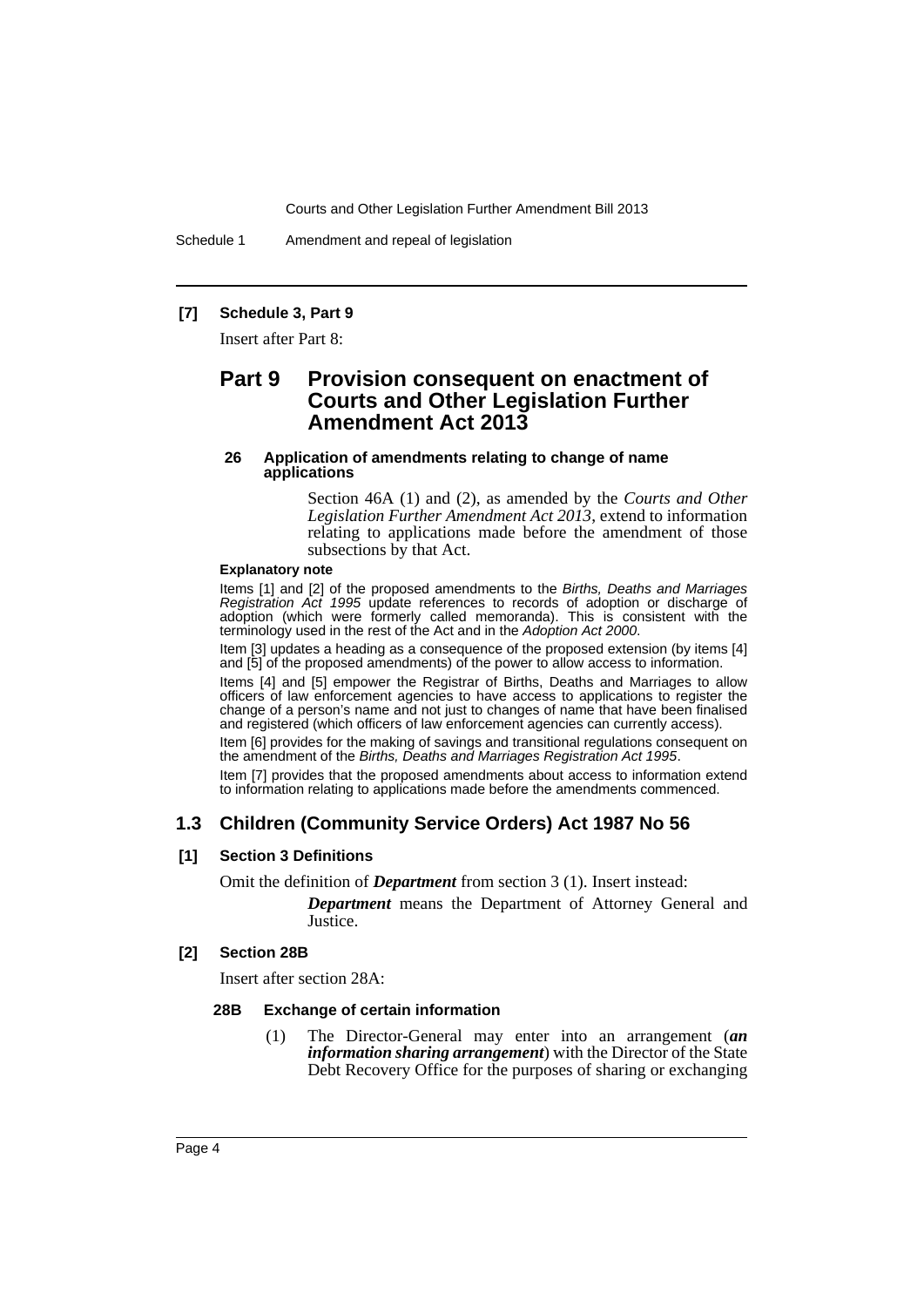Schedule 1 Amendment and repeal of legislation

### **[7] Schedule 3, Part 9**

Insert after Part 8:

# **Part 9 Provision consequent on enactment of Courts and Other Legislation Further Amendment Act 2013**

### **26 Application of amendments relating to change of name applications**

Section 46A (1) and (2), as amended by the *Courts and Other Legislation Further Amendment Act 2013*, extend to information relating to applications made before the amendment of those subsections by that Act.

### **Explanatory note**

Items [1] and [2] of the proposed amendments to the *Births, Deaths and Marriages Registration Act 1995* update references to records of adoption or discharge of adoption (which were formerly called memoranda). This is consistent with the terminology used in the rest of the Act and in the *Adoption Act 2000*.

Item [3] updates a heading as a consequence of the proposed extension (by items [4] and [5] of the proposed amendments) of the power to allow access to information.

Items [4] and [5] empower the Registrar of Births, Deaths and Marriages to allow officers of law enforcement agencies to have access to applications to register the change of a person's name and not just to changes of name that have been finalised and registered (which officers of law enforcement agencies can currently access).

Item [6] provides for the making of savings and transitional regulations consequent on the amendment of the *Births, Deaths and Marriages Registration Act 1995*.

Item [7] provides that the proposed amendments about access to information extend to information relating to applications made before the amendments commenced.

# **1.3 Children (Community Service Orders) Act 1987 No 56**

# **[1] Section 3 Definitions**

Omit the definition of *Department* from section 3 (1). Insert instead:

*Department* means the Department of Attorney General and Justice.

### **[2] Section 28B**

Insert after section 28A:

### **28B Exchange of certain information**

(1) The Director-General may enter into an arrangement (*an information sharing arrangement*) with the Director of the State Debt Recovery Office for the purposes of sharing or exchanging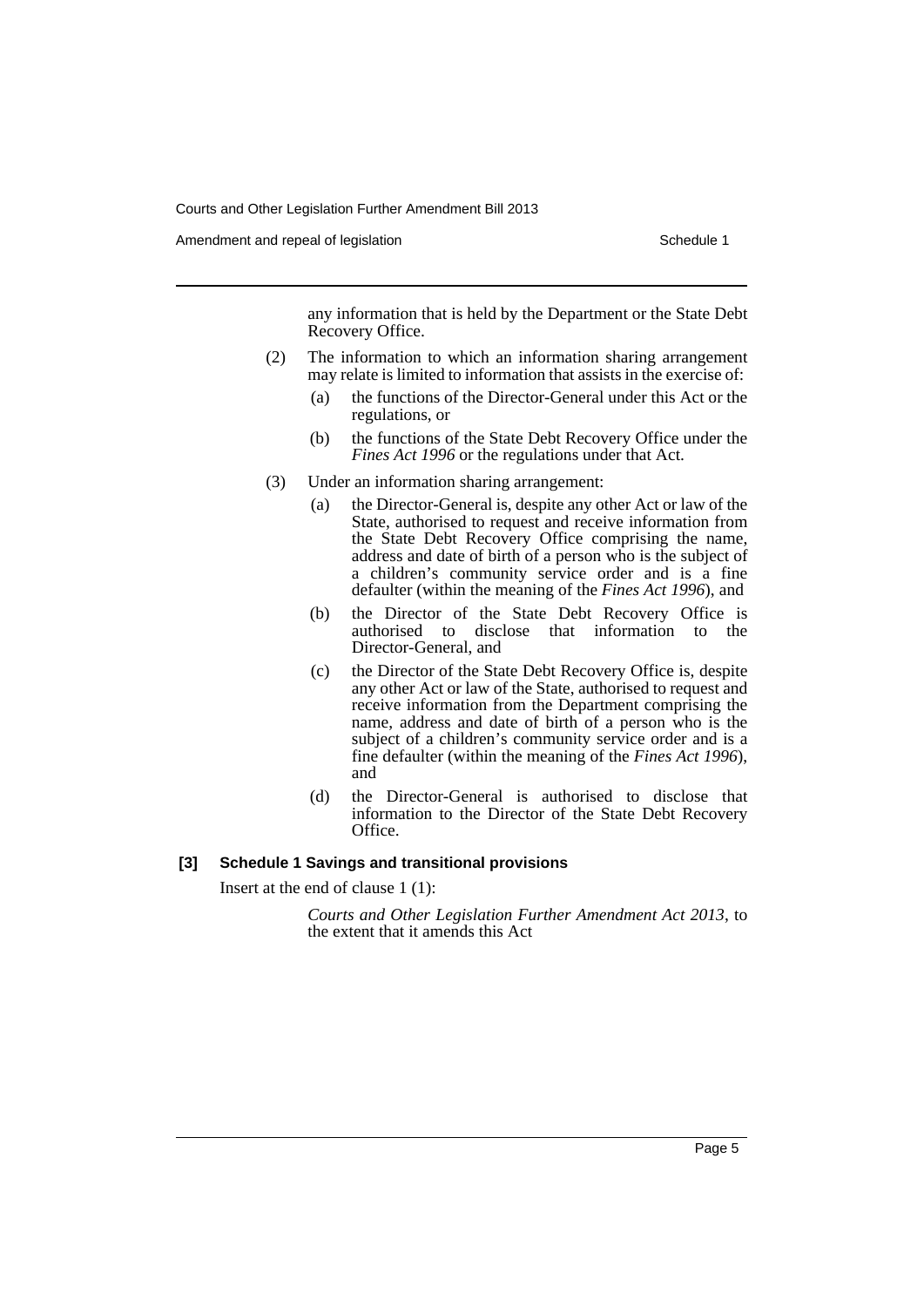Amendment and repeal of legislation Schedule 1 and Schedule 1

any information that is held by the Department or the State Debt Recovery Office.

- (2) The information to which an information sharing arrangement may relate is limited to information that assists in the exercise of:
	- (a) the functions of the Director-General under this Act or the regulations, or
	- (b) the functions of the State Debt Recovery Office under the *Fines Act 1996* or the regulations under that Act.
- (3) Under an information sharing arrangement:
	- (a) the Director-General is, despite any other Act or law of the State, authorised to request and receive information from the State Debt Recovery Office comprising the name, address and date of birth of a person who is the subject of a children's community service order and is a fine defaulter (within the meaning of the *Fines Act 1996*), and
	- (b) the Director of the State Debt Recovery Office is authorised to disclose that information to the Director-General, and
	- (c) the Director of the State Debt Recovery Office is, despite any other Act or law of the State, authorised to request and receive information from the Department comprising the name, address and date of birth of a person who is the subject of a children's community service order and is a fine defaulter (within the meaning of the *Fines Act 1996*), and
	- (d) the Director-General is authorised to disclose that information to the Director of the State Debt Recovery Office.

### **[3] Schedule 1 Savings and transitional provisions**

Insert at the end of clause 1 (1):

*Courts and Other Legislation Further Amendment Act 2013*, to the extent that it amends this Act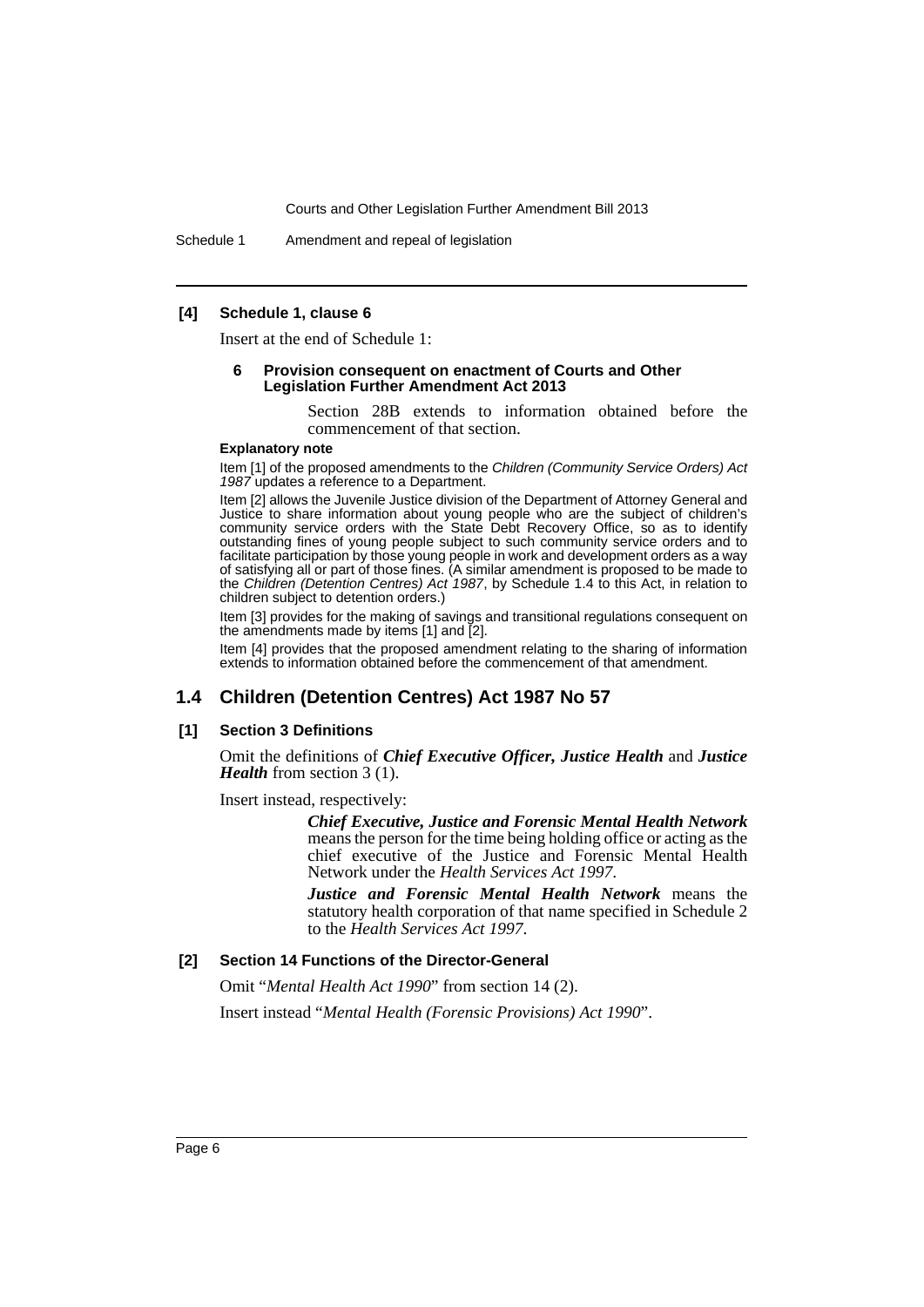Schedule 1 Amendment and repeal of legislation

### **[4] Schedule 1, clause 6**

Insert at the end of Schedule 1:

### **6 Provision consequent on enactment of Courts and Other Legislation Further Amendment Act 2013**

Section 28B extends to information obtained before the commencement of that section.

### **Explanatory note**

Item [1] of the proposed amendments to the *Children (Community Service Orders) Act* 1987 updates a reference to a Department.

Item [2] allows the Juvenile Justice division of the Department of Attorney General and Justice to share information about young people who are the subject of children's community service orders with the State Debt Recovery Office, so as to identify outstanding fines of young people subject to such community service orders and to facilitate participation by those young people in work and development orders as a way of satisfying all or part of those fines. (A similar amendment is proposed to be made to the *Children (Detention Centres) Act 1987*, by Schedule 1.4 to this Act, in relation to children subject to detention orders.)

Item [3] provides for the making of savings and transitional regulations consequent on the amendments made by items [1] and [2].

Item [4] provides that the proposed amendment relating to the sharing of information extends to information obtained before the commencement of that amendment.

# **1.4 Children (Detention Centres) Act 1987 No 57**

### **[1] Section 3 Definitions**

Omit the definitions of *Chief Executive Officer, Justice Health* and *Justice Health* from section 3 (1).

Insert instead, respectively:

*Chief Executive, Justice and Forensic Mental Health Network* means the person for the time being holding office or acting as the chief executive of the Justice and Forensic Mental Health Network under the *Health Services Act 1997*.

*Justice and Forensic Mental Health Network* means the statutory health corporation of that name specified in Schedule 2 to the *Health Services Act 1997*.

# **[2] Section 14 Functions of the Director-General**

Omit "*Mental Health Act 1990*" from section 14 (2).

Insert instead "*Mental Health (Forensic Provisions) Act 1990*".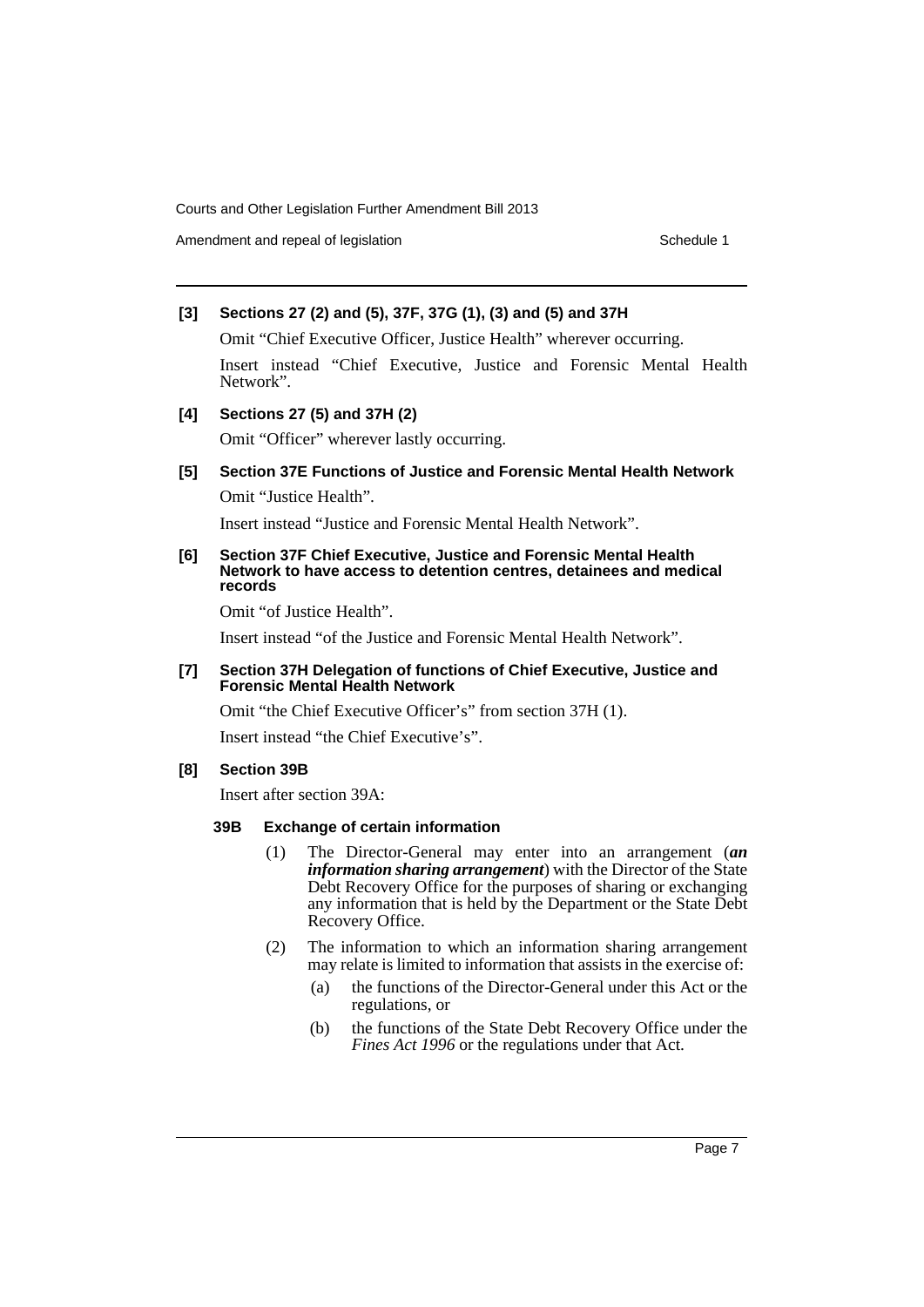Amendment and repeal of legislation Schedule 1 and Schedule 1

# **[3] Sections 27 (2) and (5), 37F, 37G (1), (3) and (5) and 37H**

Omit "Chief Executive Officer, Justice Health" wherever occurring. Insert instead "Chief Executive, Justice and Forensic Mental Health Network".

## **[4] Sections 27 (5) and 37H (2)**

Omit "Officer" wherever lastly occurring.

# **[5] Section 37E Functions of Justice and Forensic Mental Health Network** Omit "Justice Health".

Insert instead "Justice and Forensic Mental Health Network".

### **[6] Section 37F Chief Executive, Justice and Forensic Mental Health Network to have access to detention centres, detainees and medical records**

Omit "of Justice Health".

Insert instead "of the Justice and Forensic Mental Health Network".

### **[7] Section 37H Delegation of functions of Chief Executive, Justice and Forensic Mental Health Network**

Omit "the Chief Executive Officer's" from section 37H (1).

Insert instead "the Chief Executive's".

### **[8] Section 39B**

Insert after section 39A:

### **39B Exchange of certain information**

- (1) The Director-General may enter into an arrangement (*an information sharing arrangement*) with the Director of the State Debt Recovery Office for the purposes of sharing or exchanging any information that is held by the Department or the State Debt Recovery Office.
- (2) The information to which an information sharing arrangement may relate is limited to information that assists in the exercise of:
	- (a) the functions of the Director-General under this Act or the regulations, or
	- (b) the functions of the State Debt Recovery Office under the *Fines Act 1996* or the regulations under that Act.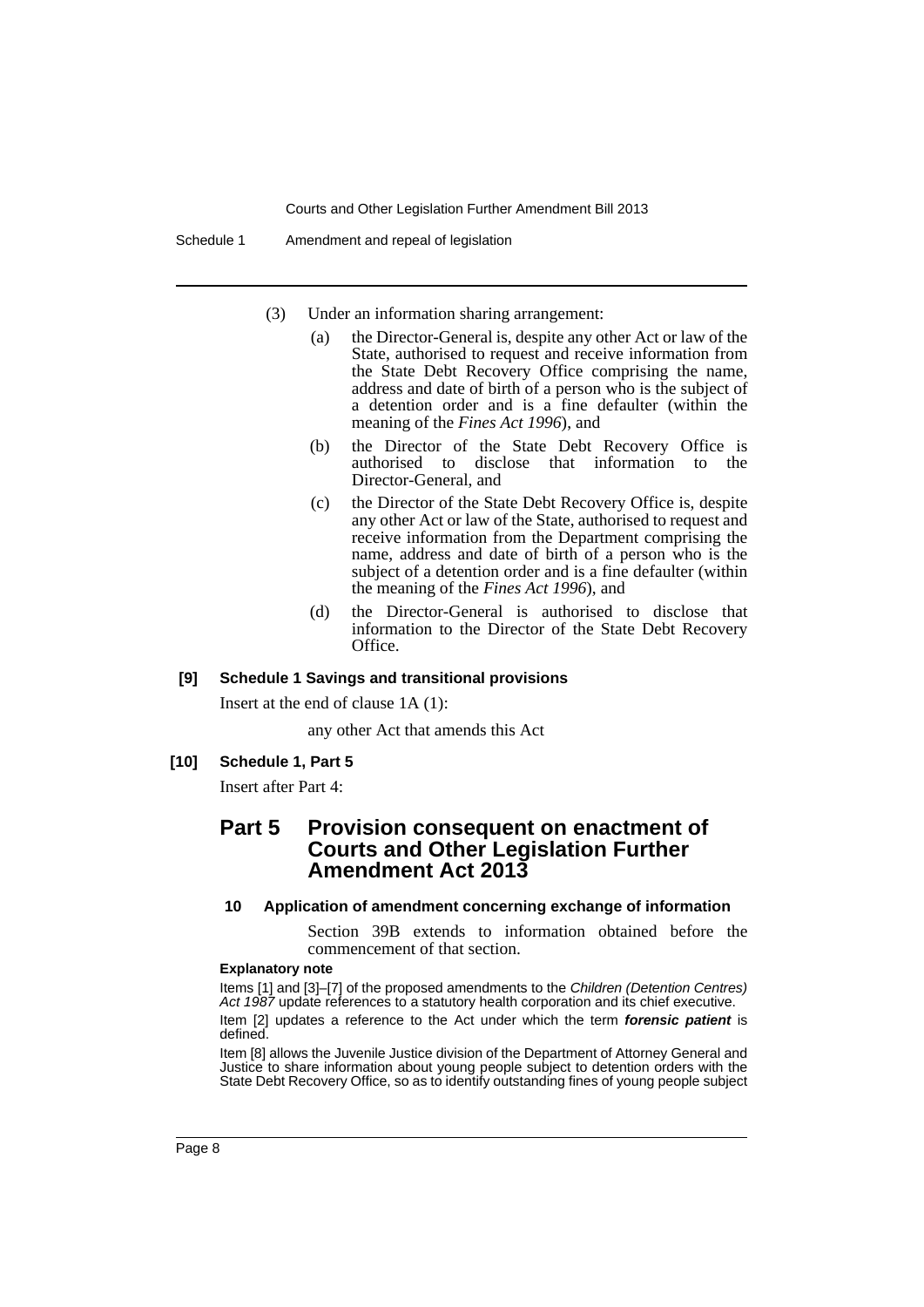Schedule 1 Amendment and repeal of legislation

- (3) Under an information sharing arrangement:
	- (a) the Director-General is, despite any other Act or law of the State, authorised to request and receive information from the State Debt Recovery Office comprising the name, address and date of birth of a person who is the subject of a detention order and is a fine defaulter (within the meaning of the *Fines Act 1996*), and
	- (b) the Director of the State Debt Recovery Office is authorised to disclose that information to the Director-General, and
	- (c) the Director of the State Debt Recovery Office is, despite any other Act or law of the State, authorised to request and receive information from the Department comprising the name, address and date of birth of a person who is the subject of a detention order and is a fine defaulter (within the meaning of the *Fines Act 1996*), and
	- (d) the Director-General is authorised to disclose that information to the Director of the State Debt Recovery Office.

# **[9] Schedule 1 Savings and transitional provisions**

Insert at the end of clause 1A (1):

any other Act that amends this Act

# **[10] Schedule 1, Part 5**

Insert after Part 4:

# **Part 5 Provision consequent on enactment of Courts and Other Legislation Further Amendment Act 2013**

### **10 Application of amendment concerning exchange of information**

Section 39B extends to information obtained before the commencement of that section.

### **Explanatory note**

Items [1] and [3]–[7] of the proposed amendments to the *Children (Detention Centres) Act 1987* update references to a statutory health corporation and its chief executive.

Item [2] updates a reference to the Act under which the term *forensic patient* is defined.

Item [8] allows the Juvenile Justice division of the Department of Attorney General and Justice to share information about young people subject to detention orders with the State Debt Recovery Office, so as to identify outstanding fines of young people subject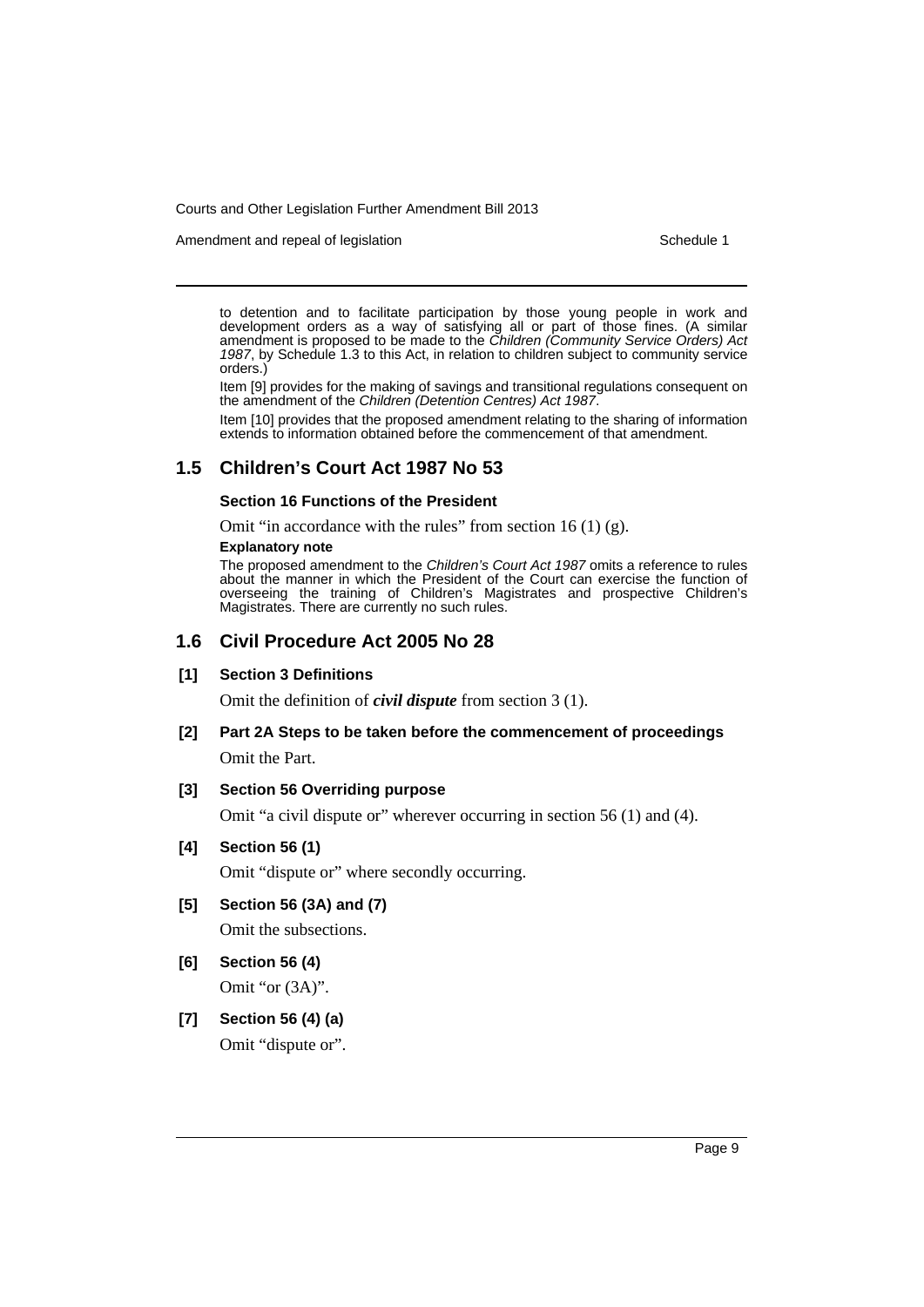Amendment and repeal of legislation Schedule 1 and Schedule 1

to detention and to facilitate participation by those young people in work and development orders as a way of satisfying all or part of those fines. (A similar amendment is proposed to be made to the *Children (Community Service Orders) Act 1987*, by Schedule 1.3 to this Act, in relation to children subject to community service orders.)

Item [9] provides for the making of savings and transitional regulations consequent on the amendment of the *Children (Detention Centres) Act 1987*.

Item [10] provides that the proposed amendment relating to the sharing of information extends to information obtained before the commencement of that amendment.

# **1.5 Children's Court Act 1987 No 53**

# **Section 16 Functions of the President**

Omit "in accordance with the rules" from section 16 (1)  $(g)$ .

#### **Explanatory note**

The proposed amendment to the *Children's Court Act 1987* omits a reference to rules about the manner in which the President of the Court can exercise the function of overseeing the training of Children's Magistrates and prospective Children's Magistrates. There are currently no such rules.

# **1.6 Civil Procedure Act 2005 No 28**

### **[1] Section 3 Definitions**

Omit the definition of *civil dispute* from section 3 (1).

**[2] Part 2A Steps to be taken before the commencement of proceedings** Omit the Part.

### **[3] Section 56 Overriding purpose**

Omit "a civil dispute or" wherever occurring in section 56 (1) and (4).

# **[4] Section 56 (1)**

Omit "dispute or" where secondly occurring.

**[5] Section 56 (3A) and (7)**

Omit the subsections.

**[6] Section 56 (4)**

Omit "or (3A)".

# **[7] Section 56 (4) (a)**

Omit "dispute or".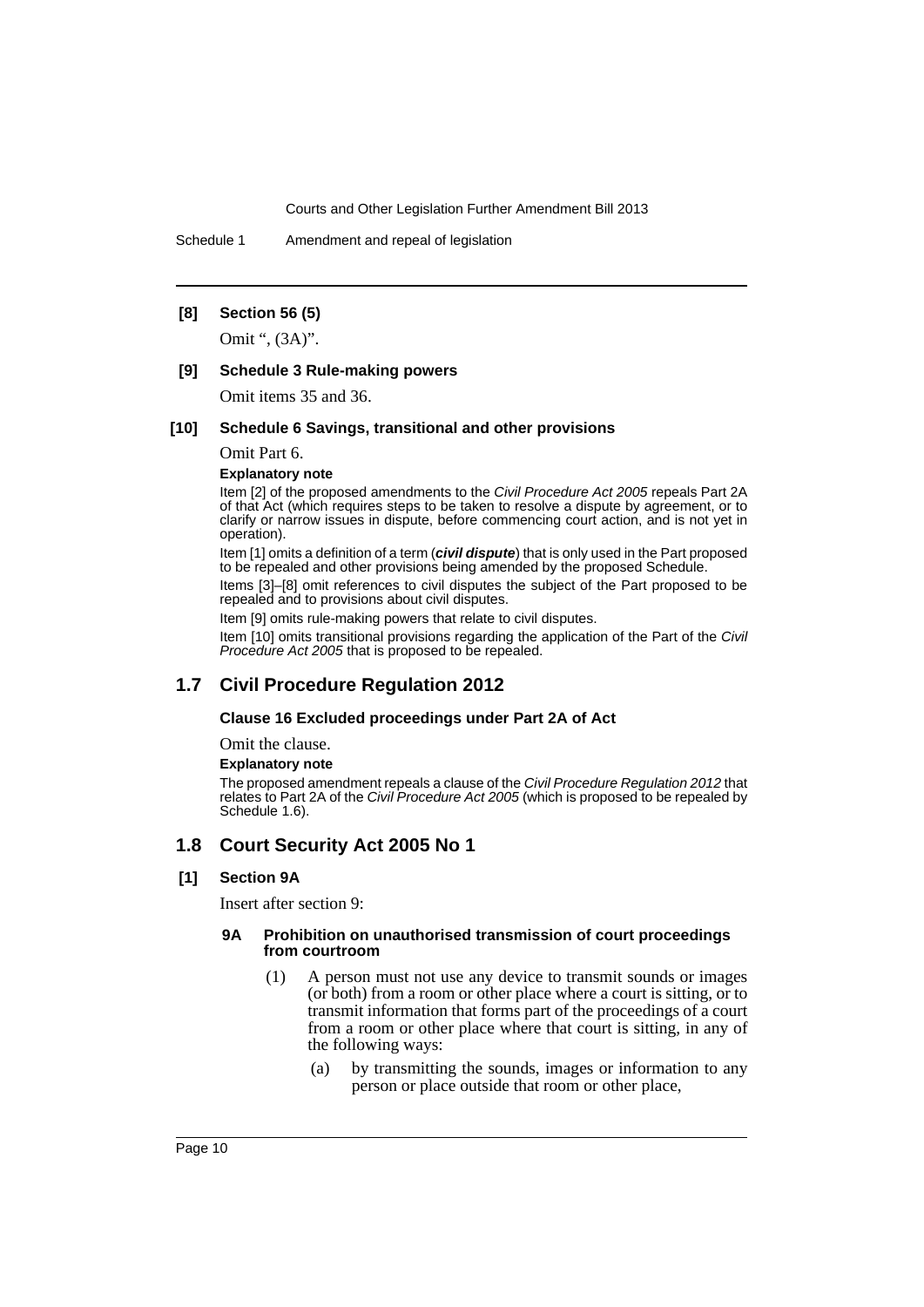Schedule 1 Amendment and repeal of legislation

# **[8] Section 56 (5)**

Omit ", (3A)".

### **[9] Schedule 3 Rule-making powers**

Omit items 35 and 36.

### **[10] Schedule 6 Savings, transitional and other provisions**

Omit Part 6.

**Explanatory note**

Item [2] of the proposed amendments to the *Civil Procedure Act 2005* repeals Part 2A of that Act (which requires steps to be taken to resolve a dispute by agreement, or to clarify or narrow issues in dispute, before commencing court action, and is not yet in operation).

Item [1] omits a definition of a term (*civil dispute*) that is only used in the Part proposed to be repealed and other provisions being amended by the proposed Schedule.

Items [3]–[8] omit references to civil disputes the subject of the Part proposed to be repealed and to provisions about civil disputes.

Item [9] omits rule-making powers that relate to civil disputes.

Item [10] omits transitional provisions regarding the application of the Part of the *Civil Procedure Act 2005* that is proposed to be repealed.

# **1.7 Civil Procedure Regulation 2012**

### **Clause 16 Excluded proceedings under Part 2A of Act**

Omit the clause.

#### **Explanatory note**

The proposed amendment repeals a clause of the *Civil Procedure Regulation 2012* that relates to Part 2A of the *Civil Procedure Act 2005* (which is proposed to be repealed by Schedule 1.6).

# **1.8 Court Security Act 2005 No 1**

### **[1] Section 9A**

Insert after section 9:

### **9A Prohibition on unauthorised transmission of court proceedings from courtroom**

- (1) A person must not use any device to transmit sounds or images (or both) from a room or other place where a court is sitting, or to transmit information that forms part of the proceedings of a court from a room or other place where that court is sitting, in any of the following ways:
	- (a) by transmitting the sounds, images or information to any person or place outside that room or other place,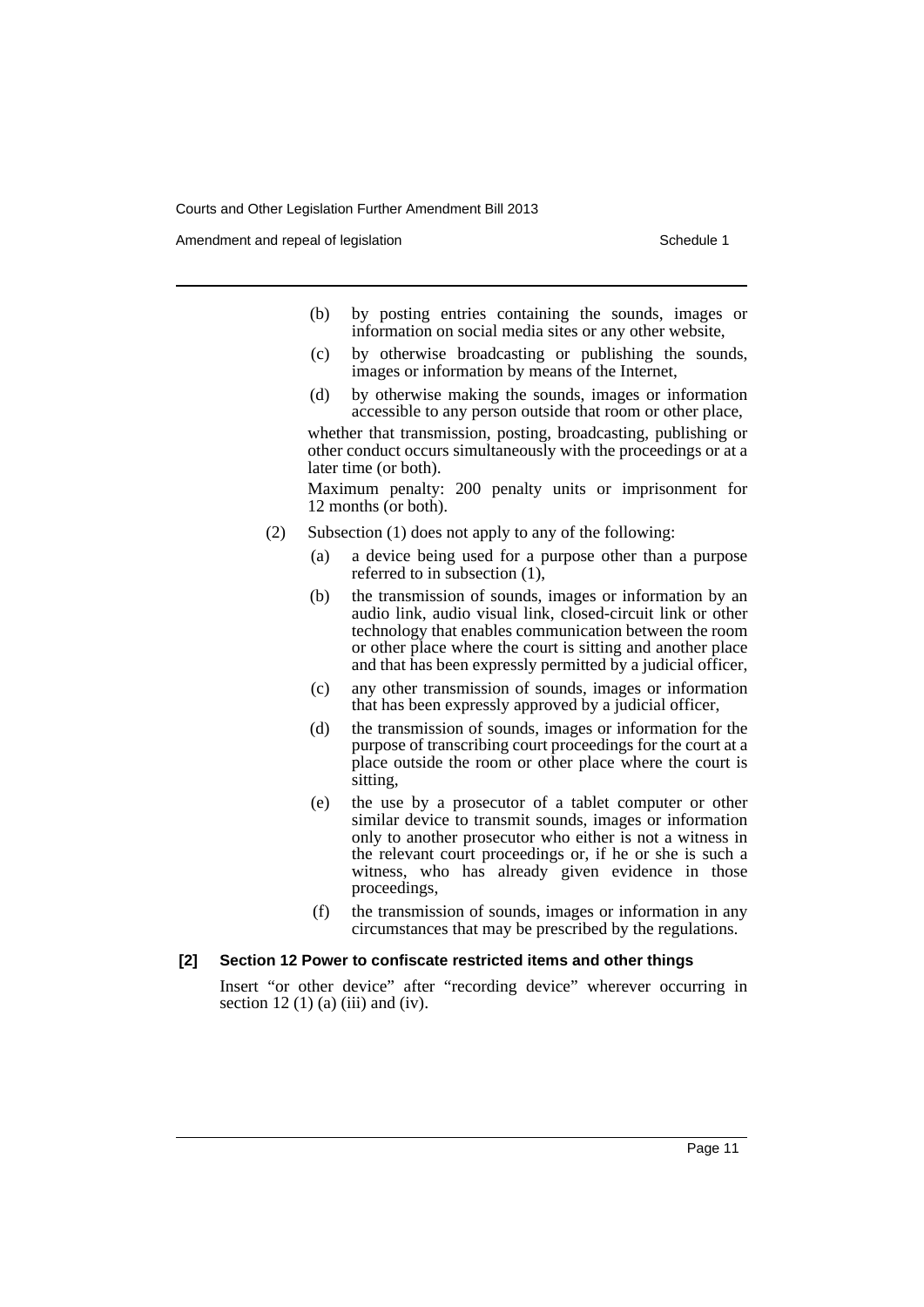Amendment and repeal of legislation Schedule 1 and the Schedule 1 set of legislation

- (b) by posting entries containing the sounds, images or information on social media sites or any other website,
- (c) by otherwise broadcasting or publishing the sounds, images or information by means of the Internet,
- (d) by otherwise making the sounds, images or information accessible to any person outside that room or other place,

whether that transmission, posting, broadcasting, publishing or other conduct occurs simultaneously with the proceedings or at a later time (or both).

Maximum penalty: 200 penalty units or imprisonment for 12 months (or both).

- (2) Subsection (1) does not apply to any of the following:
	- (a) a device being used for a purpose other than a purpose referred to in subsection (1),
	- (b) the transmission of sounds, images or information by an audio link, audio visual link, closed-circuit link or other technology that enables communication between the room or other place where the court is sitting and another place and that has been expressly permitted by a judicial officer,
	- (c) any other transmission of sounds, images or information that has been expressly approved by a judicial officer,
	- (d) the transmission of sounds, images or information for the purpose of transcribing court proceedings for the court at a place outside the room or other place where the court is sitting,
	- (e) the use by a prosecutor of a tablet computer or other similar device to transmit sounds, images or information only to another prosecutor who either is not a witness in the relevant court proceedings or, if he or she is such a witness, who has already given evidence in those proceedings,
	- (f) the transmission of sounds, images or information in any circumstances that may be prescribed by the regulations.

### **[2] Section 12 Power to confiscate restricted items and other things**

Insert "or other device" after "recording device" wherever occurring in section 12 (1) (a) (iii) and (iv).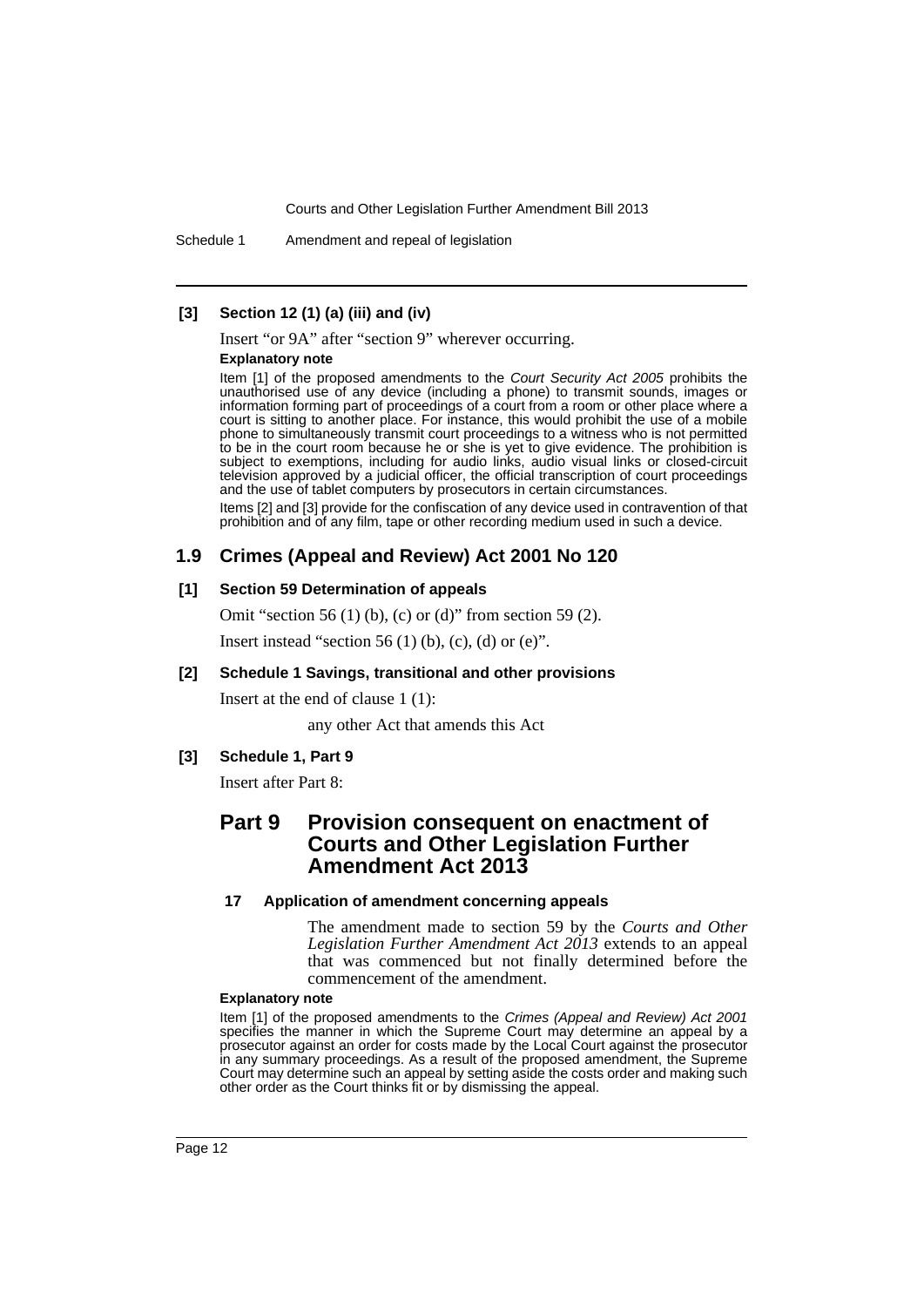Schedule 1 Amendment and repeal of legislation

## **[3] Section 12 (1) (a) (iii) and (iv)**

Insert "or 9A" after "section 9" wherever occurring.

## **Explanatory note**

Item [1] of the proposed amendments to the *Court Security Act 2005* prohibits the unauthorised use of any device (including a phone) to transmit sounds, images or information forming part of proceedings of a court from a room or other place where a court is sitting to another place. For instance, this would prohibit the use of a mobile phone to simultaneously transmit court proceedings to a witness who is not permitted to be in the court room because he or she is yet to give evidence. The prohibition is subject to exemptions, including for audio links, audio visual links or closed-circuit television approved by a judicial officer, the official transcription of court proceedings and the use of tablet computers by prosecutors in certain circumstances.

Items [2] and [3] provide for the confiscation of any device used in contravention of that prohibition and of any film, tape or other recording medium used in such a device.

# **1.9 Crimes (Appeal and Review) Act 2001 No 120**

### **[1] Section 59 Determination of appeals**

Omit "section 56 (1) (b), (c) or (d)" from section 59 (2).

Insert instead "section 56 (1) (b), (c), (d) or (e)".

# **[2] Schedule 1 Savings, transitional and other provisions**

Insert at the end of clause 1 (1):

any other Act that amends this Act

### **[3] Schedule 1, Part 9**

Insert after Part 8:

# **Part 9 Provision consequent on enactment of Courts and Other Legislation Further Amendment Act 2013**

### **17 Application of amendment concerning appeals**

The amendment made to section 59 by the *Courts and Other Legislation Further Amendment Act 2013* extends to an appeal that was commenced but not finally determined before the commencement of the amendment.

### **Explanatory note**

Item [1] of the proposed amendments to the *Crimes (Appeal and Review) Act 2001* specifies the manner in which the Supreme Court may determine an appeal by a prosecutor against an order for costs made by the Local Court against the prosecutor in any summary proceedings. As a result of the proposed amendment, the Supreme Court may determine such an appeal by setting aside the costs order and making such other order as the Court thinks fit or by dismissing the appeal.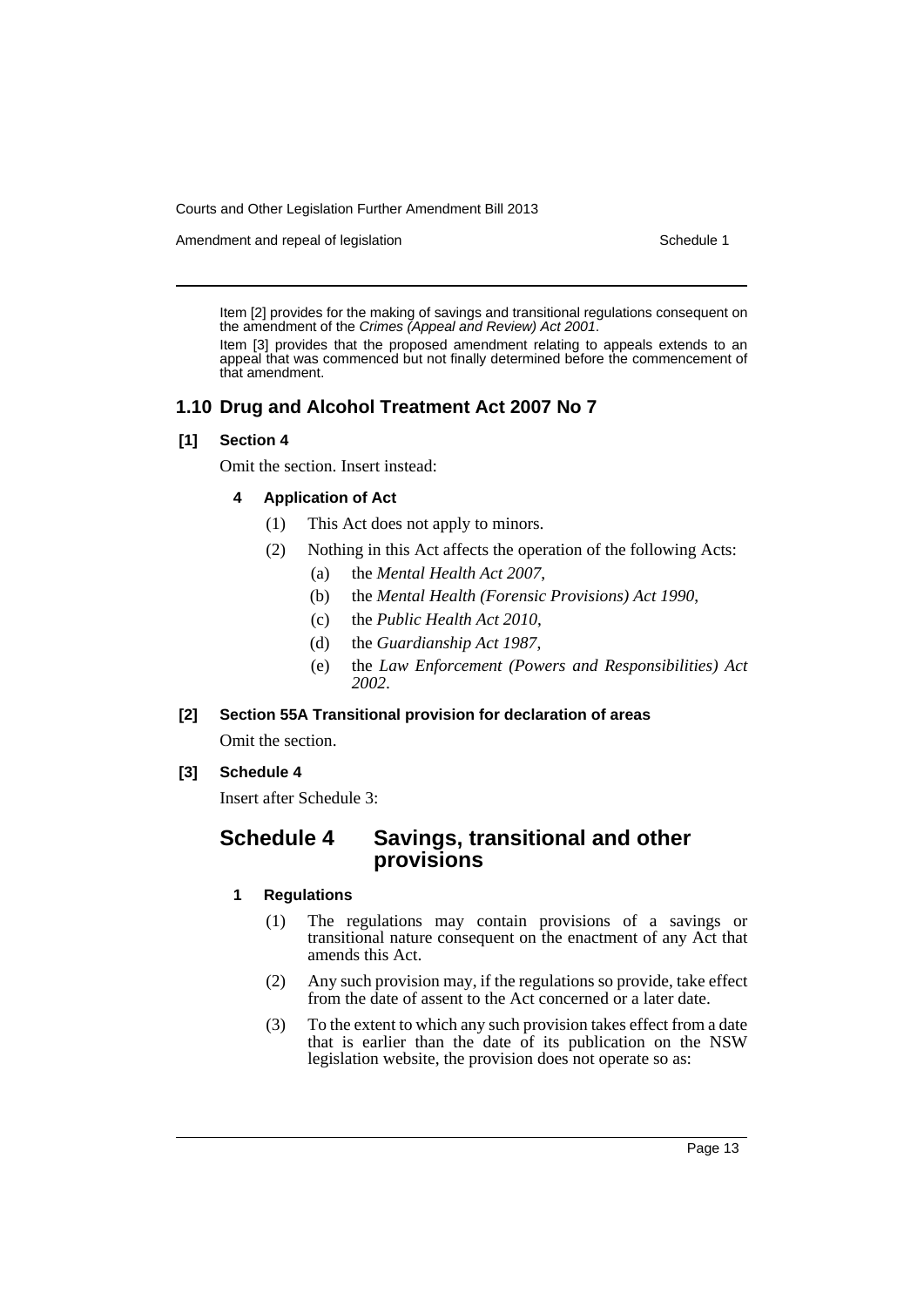Amendment and repeal of legislation Schedule 1 and Schedule 1

Item [2] provides for the making of savings and transitional regulations consequent on the amendment of the *Crimes (Appeal and Review) Act 2001*.

Item [3] provides that the proposed amendment relating to appeals extends to an appeal that was commenced but not finally determined before the commencement of that amendment.

# **1.10 Drug and Alcohol Treatment Act 2007 No 7**

# **[1] Section 4**

Omit the section. Insert instead:

# **4 Application of Act**

- (1) This Act does not apply to minors.
- (2) Nothing in this Act affects the operation of the following Acts:
	- (a) the *Mental Health Act 2007*,
	- (b) the *Mental Health (Forensic Provisions) Act 1990*,
	- (c) the *Public Health Act 2010*,
	- (d) the *Guardianship Act 1987*,
	- (e) the *Law Enforcement (Powers and Responsibilities) Act 2002*.

# **[2] Section 55A Transitional provision for declaration of areas**

Omit the section.

# **[3] Schedule 4**

Insert after Schedule 3:

# **Schedule 4 Savings, transitional and other provisions**

# **1 Regulations**

- (1) The regulations may contain provisions of a savings or transitional nature consequent on the enactment of any Act that amends this Act.
- (2) Any such provision may, if the regulations so provide, take effect from the date of assent to the Act concerned or a later date.
- (3) To the extent to which any such provision takes effect from a date that is earlier than the date of its publication on the NSW legislation website, the provision does not operate so as: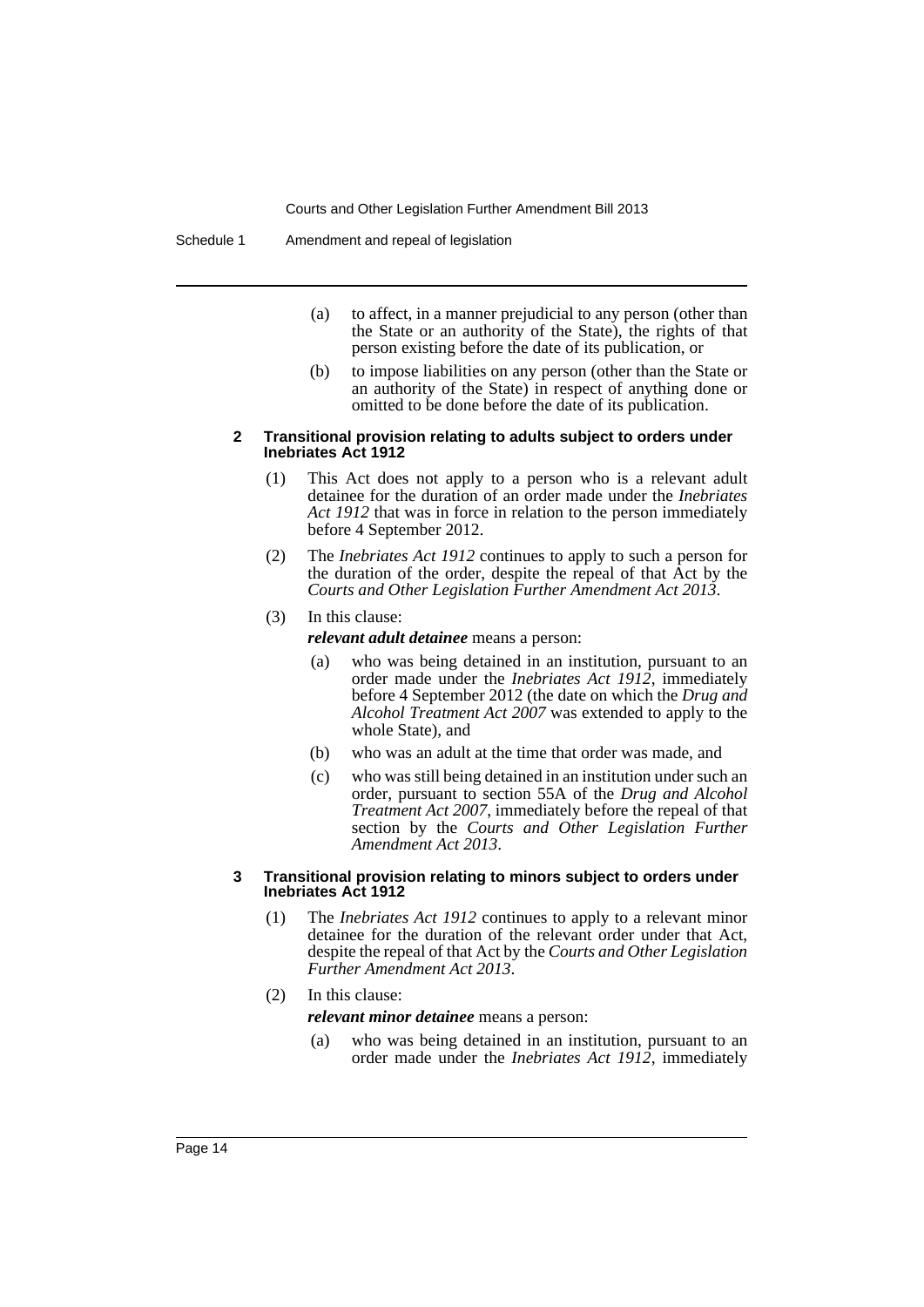Schedule 1 Amendment and repeal of legislation

- (a) to affect, in a manner prejudicial to any person (other than the State or an authority of the State), the rights of that person existing before the date of its publication, or
- (b) to impose liabilities on any person (other than the State or an authority of the State) in respect of anything done or omitted to be done before the date of its publication.

### **2 Transitional provision relating to adults subject to orders under Inebriates Act 1912**

- (1) This Act does not apply to a person who is a relevant adult detainee for the duration of an order made under the *Inebriates Act 1912* that was in force in relation to the person immediately before 4 September 2012.
- (2) The *Inebriates Act 1912* continues to apply to such a person for the duration of the order, despite the repeal of that Act by the *Courts and Other Legislation Further Amendment Act 2013*.
- (3) In this clause:

*relevant adult detainee* means a person:

- (a) who was being detained in an institution, pursuant to an order made under the *Inebriates Act 1912*, immediately before 4 September 2012 (the date on which the *Drug and Alcohol Treatment Act 2007* was extended to apply to the whole State), and
- (b) who was an adult at the time that order was made, and
- (c) who was still being detained in an institution under such an order, pursuant to section 55A of the *Drug and Alcohol Treatment Act 2007*, immediately before the repeal of that section by the *Courts and Other Legislation Further Amendment Act 2013*.

### **3 Transitional provision relating to minors subject to orders under Inebriates Act 1912**

- (1) The *Inebriates Act 1912* continues to apply to a relevant minor detainee for the duration of the relevant order under that Act, despite the repeal of that Act by the *Courts and Other Legislation Further Amendment Act 2013*.
- (2) In this clause:

*relevant minor detainee* means a person:

(a) who was being detained in an institution, pursuant to an order made under the *Inebriates Act 1912*, immediately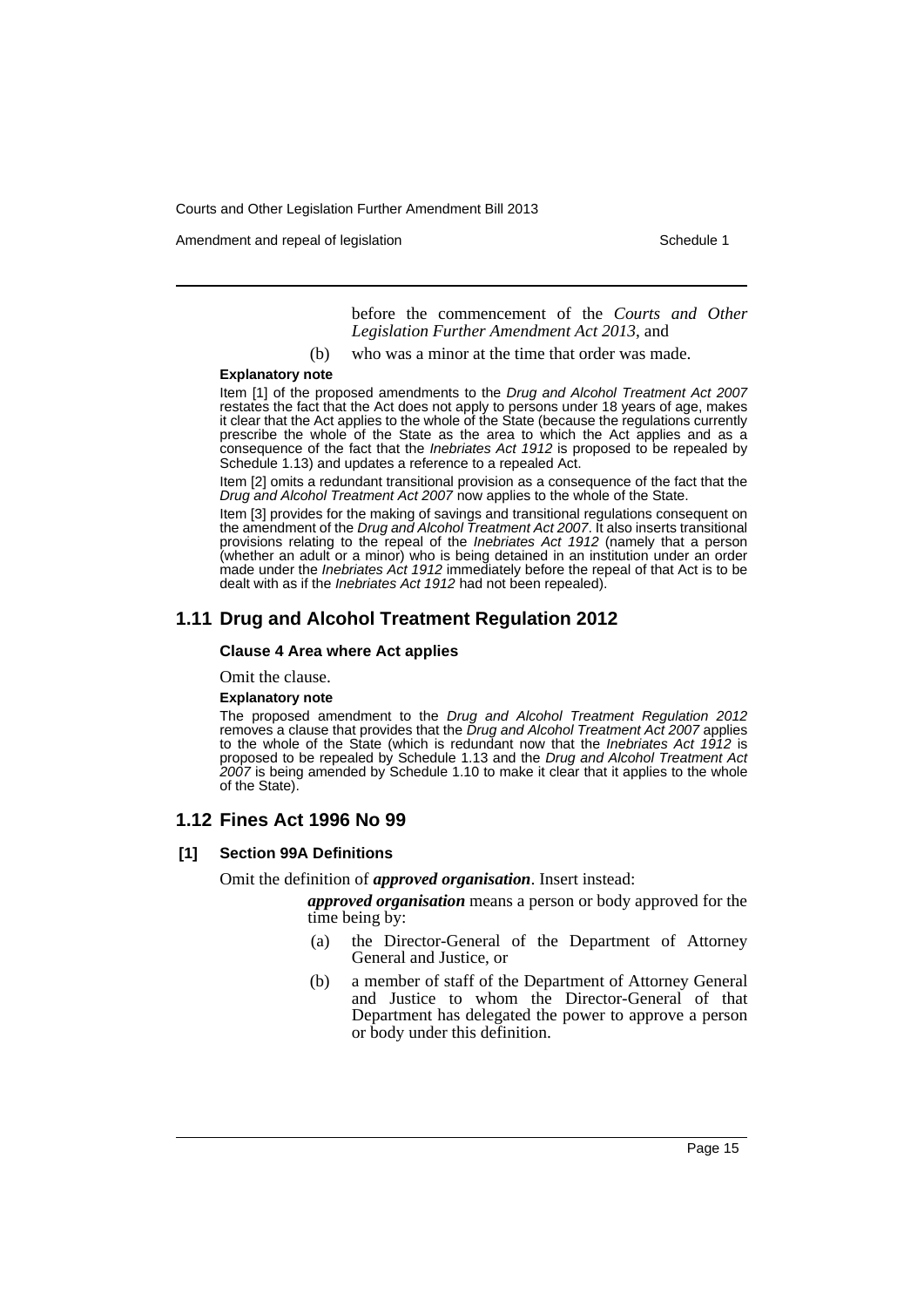Amendment and repeal of legislation Schedule 1 and the Schedule 1 set of legislation

before the commencement of the *Courts and Other Legislation Further Amendment Act 2013*, and

(b) who was a minor at the time that order was made.

#### **Explanatory note**

Item [1] of the proposed amendments to the *Drug and Alcohol Treatment Act 2007* restates the fact that the Act does not apply to persons under 18 years of age, makes it clear that the Act applies to the whole of the State (because the regulations currently prescribe the whole of the State as the area to which the Act applies and as a consequence of the fact that the *Inebriates Act 1912* is proposed to be repealed by Schedule 1.13) and updates a reference to a repealed Act.

Item [2] omits a redundant transitional provision as a consequence of the fact that the *Drug and Alcohol Treatment Act 2007* now applies to the whole of the State.

Item [3] provides for the making of savings and transitional regulations consequent on the amendment of the *Drug and Alcohol Treatment Act 2007*. It also inserts transitional provisions relating to the repeal of the *Inebriates Act 1912* (namely that a person (whether an adult or a minor) who is being detained in an institution under an order made under the *Inebriates Act 1912* immediately before the repeal of that Act is to be dealt with as if the *Inebriates Act 1912* had not been repealed).

# **1.11 Drug and Alcohol Treatment Regulation 2012**

### **Clause 4 Area where Act applies**

### Omit the clause.

### **Explanatory note**

The proposed amendment to the *Drug and Alcohol Treatment Regulation 2012* removes a clause that provides that the *Drug and Alcohol Treatment Act 2007* applies to the whole of the State (which is redundant now that the *Inebriates Act 1912* is proposed to be repealed by Schedule 1.13 and the *Drug and Alcohol Treatment Act 2007* is being amended by Schedule 1.10 to make it clear that it applies to the whole of the State).

### **1.12 Fines Act 1996 No 99**

### **[1] Section 99A Definitions**

Omit the definition of *approved organisation*. Insert instead:

*approved organisation* means a person or body approved for the time being by:

- (a) the Director-General of the Department of Attorney General and Justice, or
- (b) a member of staff of the Department of Attorney General and Justice to whom the Director-General of that Department has delegated the power to approve a person or body under this definition.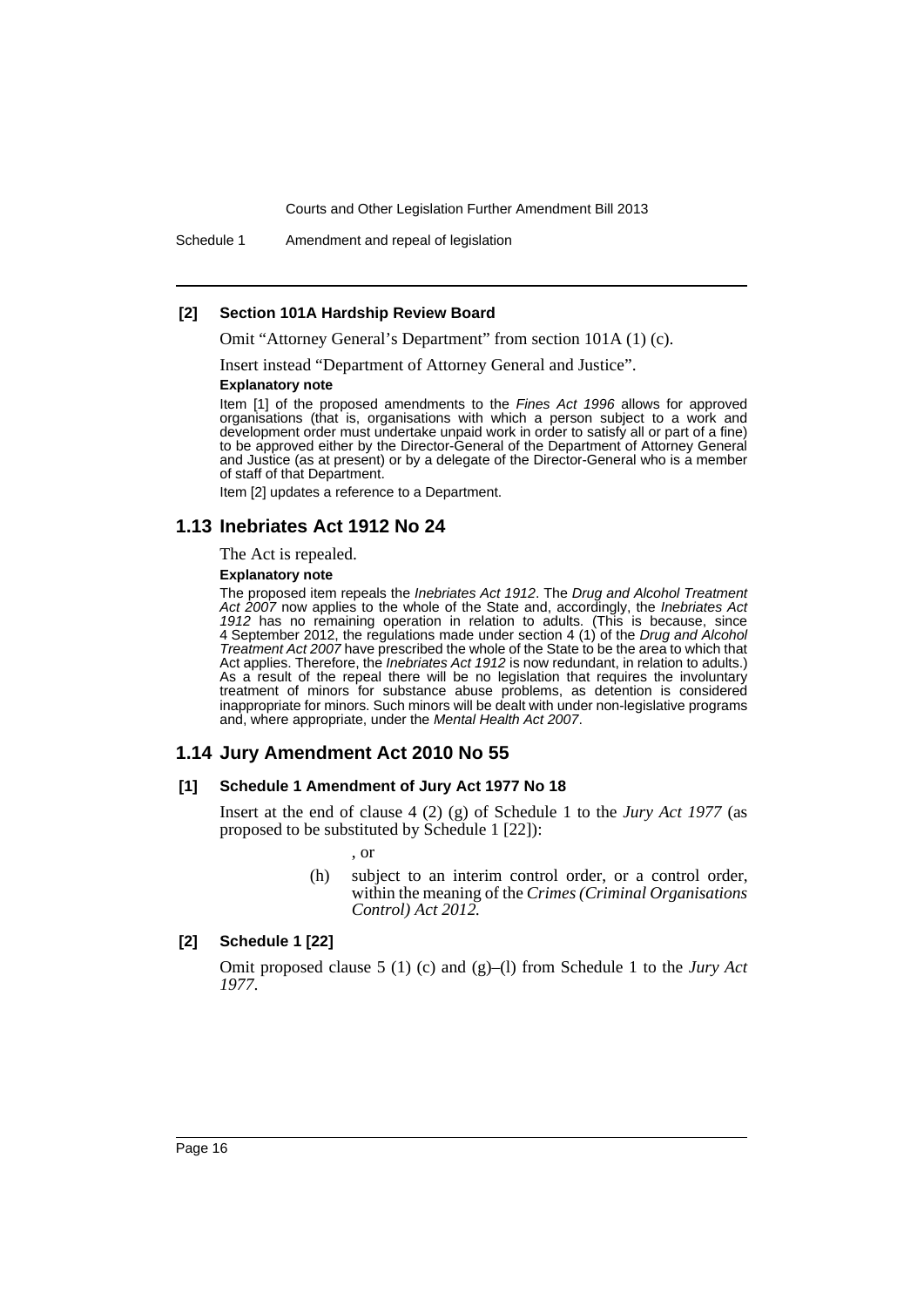Schedule 1 Amendment and repeal of legislation

### **[2] Section 101A Hardship Review Board**

Omit "Attorney General's Department" from section 101A (1) (c).

Insert instead "Department of Attorney General and Justice".

#### **Explanatory note**

Item [1] of the proposed amendments to the *Fines Act 1996* allows for approved organisations (that is, organisations with which a person subject to a work and development order must undertake unpaid work in order to satisfy all or part of a fine) to be approved either by the Director-General of the Department of Attorney General and Justice (as at present) or by a delegate of the Director-General who is a member of staff of that Department.

Item [2] updates a reference to a Department.

# **1.13 Inebriates Act 1912 No 24**

The Act is repealed.

#### **Explanatory note**

The proposed item repeals the *Inebriates Act 1912*. The *Drug and Alcohol Treatment Act 2007* now applies to the whole of the State and, accordingly, the *Inebriates Act 1912* has no remaining operation in relation to adults. (This is because, since 4 September 2012, the regulations made under section 4 (1) of the *Drug and Alcohol Treatment Act 2007* have prescribed the whole of the State to be the area to which that Act applies. Therefore, the *Inebriates Act 1912* is now redundant, in relation to adults.) As a result of the repeal there will be no legislation that requires the involuntary treatment of minors for substance abuse problems, as detention is considered inappropriate for minors. Such minors will be dealt with under non-legislative programs and, where appropriate, under the *Mental Health Act 2007*.

# **1.14 Jury Amendment Act 2010 No 55**

### **[1] Schedule 1 Amendment of Jury Act 1977 No 18**

Insert at the end of clause 4 (2) (g) of Schedule 1 to the *Jury Act 1977* (as proposed to be substituted by Schedule 1 [22]):

, or

(h) subject to an interim control order, or a control order, within the meaning of the *Crimes (Criminal Organisations Control) Act 2012.*

### **[2] Schedule 1 [22]**

Omit proposed clause 5 (1) (c) and (g)–(l) from Schedule 1 to the *Jury Act 1977*.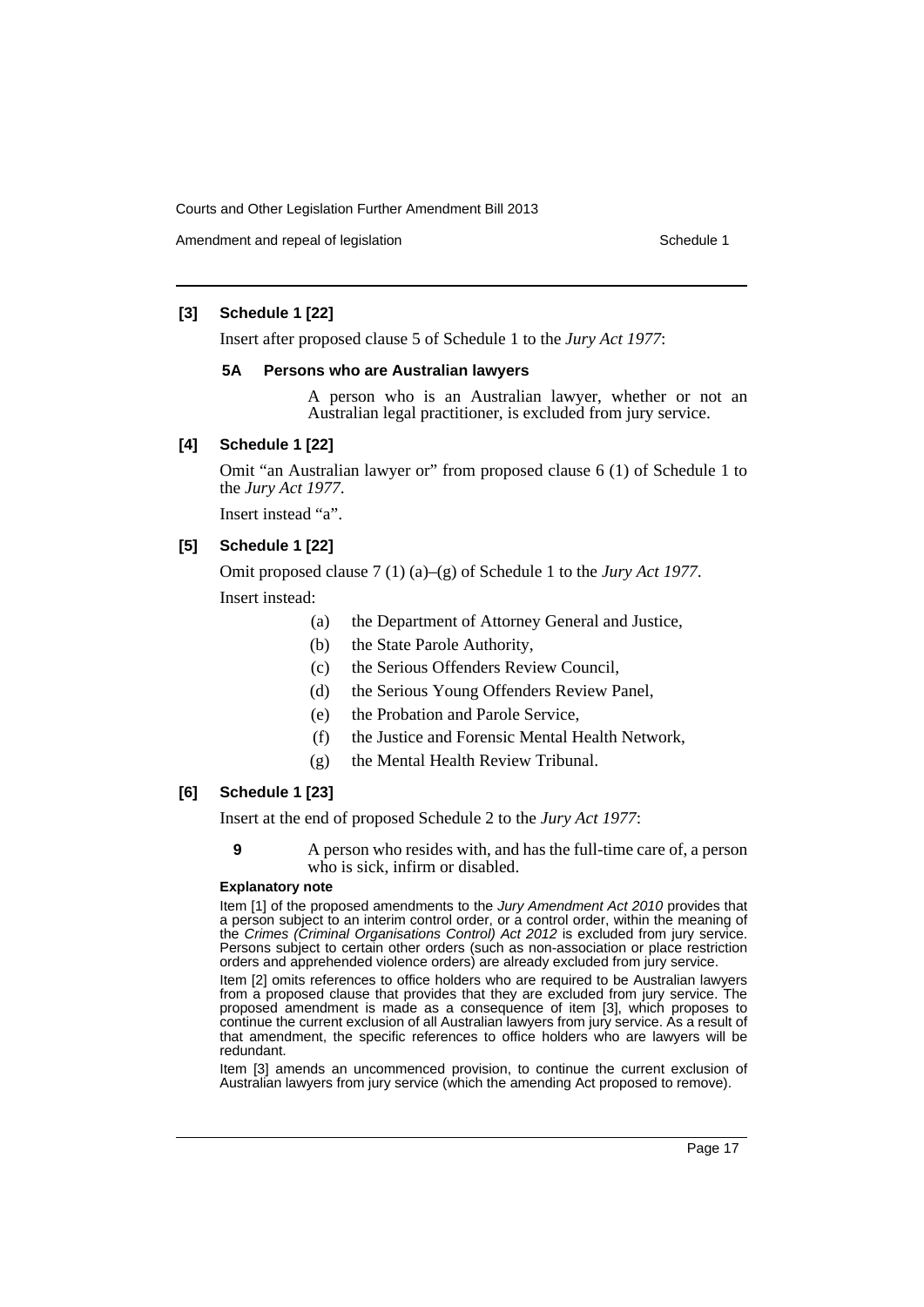Amendment and repeal of legislation Schedule 1 and the Schedule 1 set of legislation

# **[3] Schedule 1 [22]**

Insert after proposed clause 5 of Schedule 1 to the *Jury Act 1977*:

### **5A Persons who are Australian lawyers**

A person who is an Australian lawyer, whether or not an Australian legal practitioner, is excluded from jury service.

# **[4] Schedule 1 [22]**

Omit "an Australian lawyer or" from proposed clause 6 (1) of Schedule 1 to the *Jury Act 1977*.

Insert instead "a".

# **[5] Schedule 1 [22]**

Omit proposed clause 7 (1) (a)–(g) of Schedule 1 to the *Jury Act 1977*. Insert instead:

- (a) the Department of Attorney General and Justice,
- (b) the State Parole Authority,
- (c) the Serious Offenders Review Council,
- (d) the Serious Young Offenders Review Panel,
- (e) the Probation and Parole Service,
- (f) the Justice and Forensic Mental Health Network,
- (g) the Mental Health Review Tribunal.

# **[6] Schedule 1 [23]**

Insert at the end of proposed Schedule 2 to the *Jury Act 1977*:

**9** A person who resides with, and has the full-time care of, a person who is sick, infirm or disabled.

### **Explanatory note**

Item [1] of the proposed amendments to the *Jury Amendment Act 2010* provides that a person subject to an interim control order, or a control order, within the meaning of the *Crimes (Criminal Organisations Control) Act 2012* is excluded from jury service. Persons subject to certain other orders (such as non-association or place restriction orders and apprehended violence orders) are already excluded from jury service.

Item [2] omits references to office holders who are required to be Australian lawyers from a proposed clause that provides that they are excluded from jury service. The proposed amendment is made as a consequence of item [3], which proposes to continue the current exclusion of all Australian lawyers from jury service. As a result of that amendment, the specific references to office holders who are lawyers will be redundant.

Item [3] amends an uncommenced provision, to continue the current exclusion of Australian lawyers from jury service (which the amending Act proposed to remove).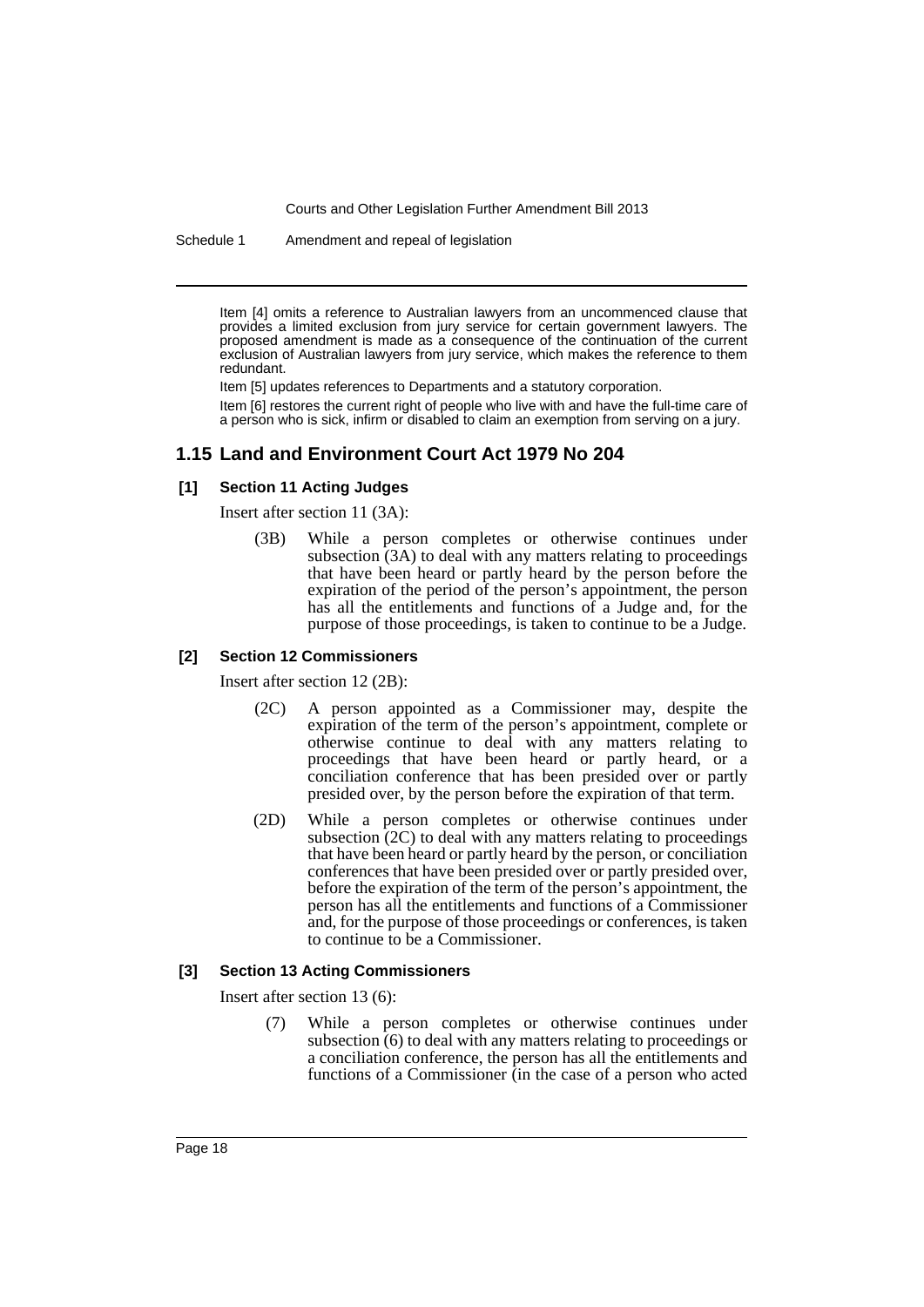Schedule 1 Amendment and repeal of legislation

Item [4] omits a reference to Australian lawyers from an uncommenced clause that provides a limited exclusion from jury service for certain government lawyers. The proposed amendment is made as a consequence of the continuation of the current exclusion of Australian lawyers from jury service, which makes the reference to them redundant.

Item [5] updates references to Departments and a statutory corporation.

Item [6] restores the current right of people who live with and have the full-time care of a person who is sick, infirm or disabled to claim an exemption from serving on a jury.

# **1.15 Land and Environment Court Act 1979 No 204**

### **[1] Section 11 Acting Judges**

Insert after section 11 (3A):

(3B) While a person completes or otherwise continues under subsection (3A) to deal with any matters relating to proceedings that have been heard or partly heard by the person before the expiration of the period of the person's appointment, the person has all the entitlements and functions of a Judge and, for the purpose of those proceedings, is taken to continue to be a Judge.

## **[2] Section 12 Commissioners**

Insert after section 12 (2B):

- (2C) A person appointed as a Commissioner may, despite the expiration of the term of the person's appointment, complete or otherwise continue to deal with any matters relating to proceedings that have been heard or partly heard, or a conciliation conference that has been presided over or partly presided over, by the person before the expiration of that term.
- (2D) While a person completes or otherwise continues under subsection  $(2C)$  to deal with any matters relating to proceedings that have been heard or partly heard by the person, or conciliation conferences that have been presided over or partly presided over, before the expiration of the term of the person's appointment, the person has all the entitlements and functions of a Commissioner and, for the purpose of those proceedings or conferences, is taken to continue to be a Commissioner.

### **[3] Section 13 Acting Commissioners**

Insert after section 13 (6):

While a person completes or otherwise continues under subsection (6) to deal with any matters relating to proceedings or a conciliation conference, the person has all the entitlements and functions of a Commissioner (in the case of a person who acted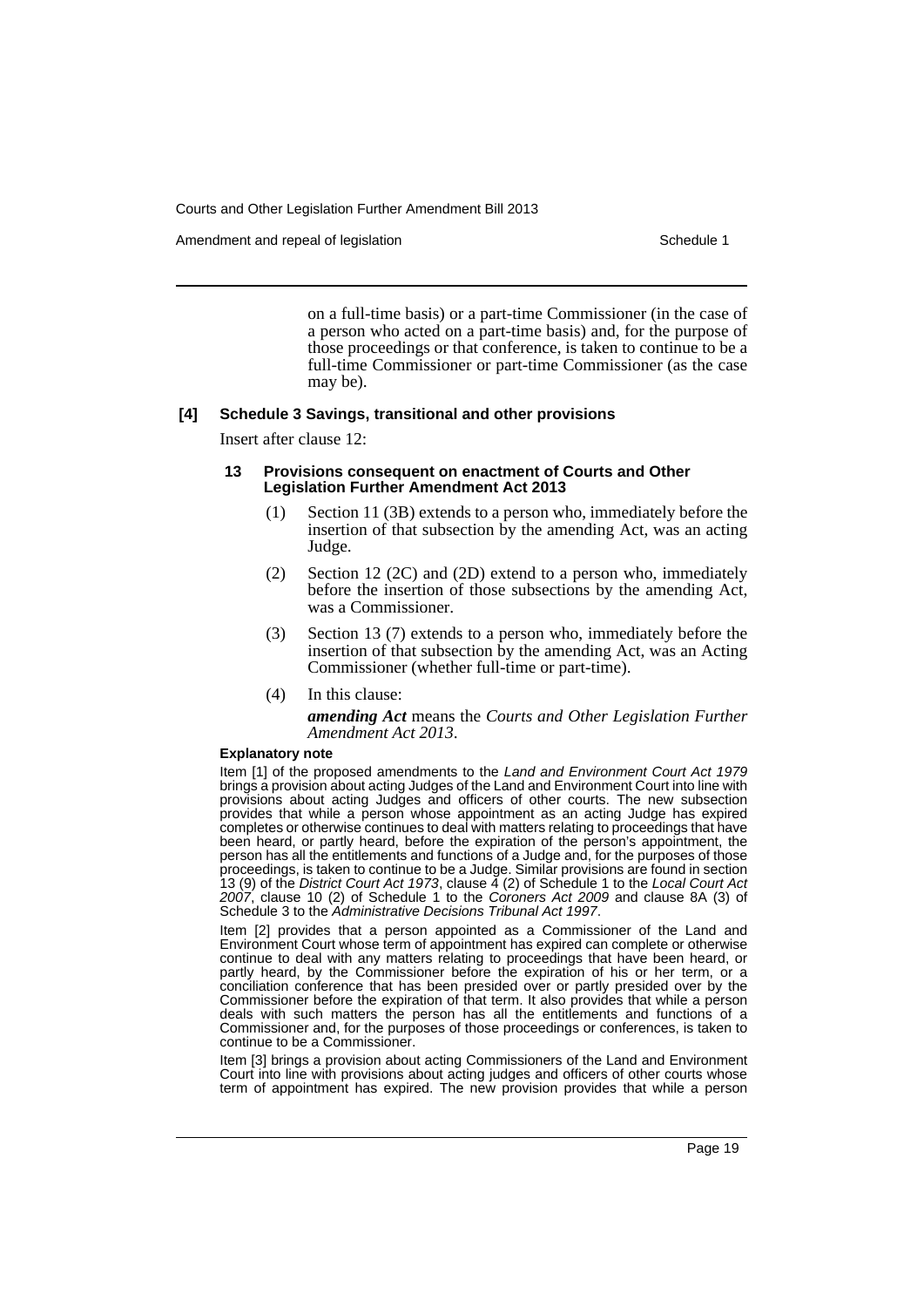Amendment and repeal of legislation Schedule 1 and the Schedule 1 set of legislation

on a full-time basis) or a part-time Commissioner (in the case of a person who acted on a part-time basis) and, for the purpose of those proceedings or that conference, is taken to continue to be a full-time Commissioner or part-time Commissioner (as the case may be).

### **[4] Schedule 3 Savings, transitional and other provisions**

Insert after clause 12:

### **13 Provisions consequent on enactment of Courts and Other Legislation Further Amendment Act 2013**

- (1) Section 11 (3B) extends to a person who, immediately before the insertion of that subsection by the amending Act, was an acting Judge.
- (2) Section 12 (2C) and (2D) extend to a person who, immediately before the insertion of those subsections by the amending Act, was a Commissioner.
- (3) Section 13 (7) extends to a person who, immediately before the insertion of that subsection by the amending Act, was an Acting Commissioner (whether full-time or part-time).
- (4) In this clause:

*amending Act* means the *Courts and Other Legislation Further Amendment Act 2013*.

#### **Explanatory note**

Item [1] of the proposed amendments to the *Land and Environment Court Act 1979* brings a provision about acting Judges of the Land and Environment Court into line with provisions about acting Judges and officers of other courts. The new subsection provides that while a person whose appointment as an acting Judge has expired completes or otherwise continues to deal with matters relating to proceedings that have been heard, or partly heard, before the expiration of the person's appointment, the person has all the entitlements and functions of a Judge and, for the purposes of those proceedings, is taken to continue to be a Judge. Similar provisions are found in section 13 (9) of the *District Court Act 1973*, clause 4 (2) of Schedule 1 to the *Local Court Act 2007*, clause 10 (2) of Schedule 1 to the *Coroners Act 2009* and clause 8A (3) of Schedule 3 to the *Administrative Decisions Tribunal Act 1997*.

Item [2] provides that a person appointed as a Commissioner of the Land and Environment Court whose term of appointment has expired can complete or otherwise continue to deal with any matters relating to proceedings that have been heard, or partly heard, by the Commissioner before the expiration of his or her term, or a conciliation conference that has been presided over or partly presided over by the Commissioner before the expiration of that term. It also provides that while a person deals with such matters the person has all the entitlements and functions of a Commissioner and, for the purposes of those proceedings or conferences, is taken to continue to be a Commissioner.

Item [3] brings a provision about acting Commissioners of the Land and Environment Court into line with provisions about acting judges and officers of other courts whose term of appointment has expired. The new provision provides that while a person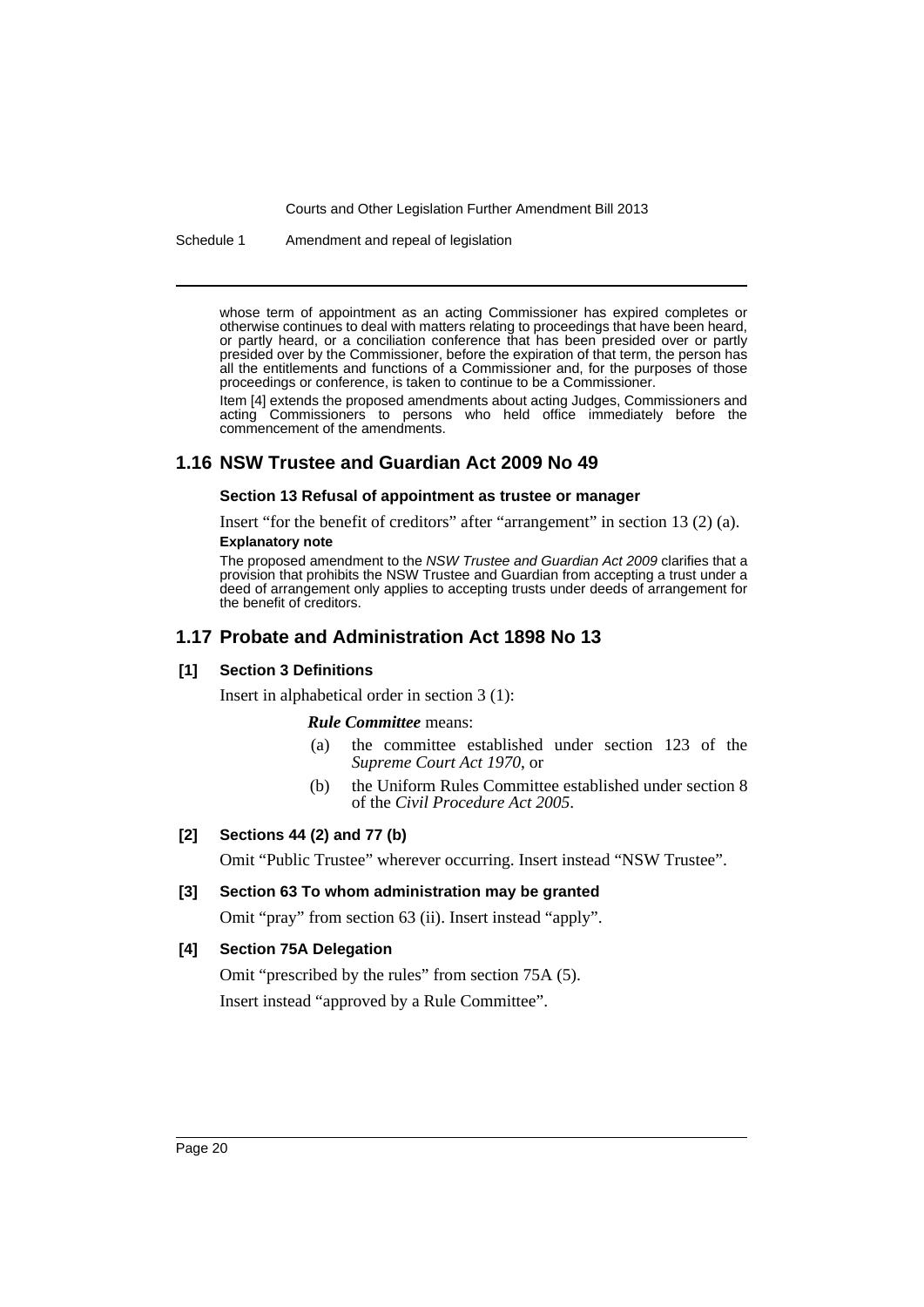Schedule 1 Amendment and repeal of legislation

whose term of appointment as an acting Commissioner has expired completes or otherwise continues to deal with matters relating to proceedings that have been heard, or partly heard, or a conciliation conference that has been presided over or partly presided over by the Commissioner, before the expiration of that term, the person has all the entitlements and functions of a Commissioner and, for the purposes of those proceedings or conference, is taken to continue to be a Commissioner.

Item [4] extends the proposed amendments about acting Judges, Commissioners and acting Commissioners to persons who held office immediately before the commencement of the amendments.

# **1.16 NSW Trustee and Guardian Act 2009 No 49**

### **Section 13 Refusal of appointment as trustee or manager**

Insert "for the benefit of creditors" after "arrangement" in section 13 (2) (a). **Explanatory note**

The proposed amendment to the *NSW Trustee and Guardian Act 2009* clarifies that a provision that prohibits the NSW Trustee and Guardian from accepting a trust under a deed of arrangement only applies to accepting trusts under deeds of arrangement for the benefit of creditors.

# **1.17 Probate and Administration Act 1898 No 13**

### **[1] Section 3 Definitions**

Insert in alphabetical order in section 3 (1):

*Rule Committee* means:

- (a) the committee established under section 123 of the *Supreme Court Act 1970*, or
- (b) the Uniform Rules Committee established under section 8 of the *Civil Procedure Act 2005*.

### **[2] Sections 44 (2) and 77 (b)**

Omit "Public Trustee" wherever occurring. Insert instead "NSW Trustee".

### **[3] Section 63 To whom administration may be granted**

Omit "pray" from section 63 (ii). Insert instead "apply".

### **[4] Section 75A Delegation**

Omit "prescribed by the rules" from section 75A (5). Insert instead "approved by a Rule Committee".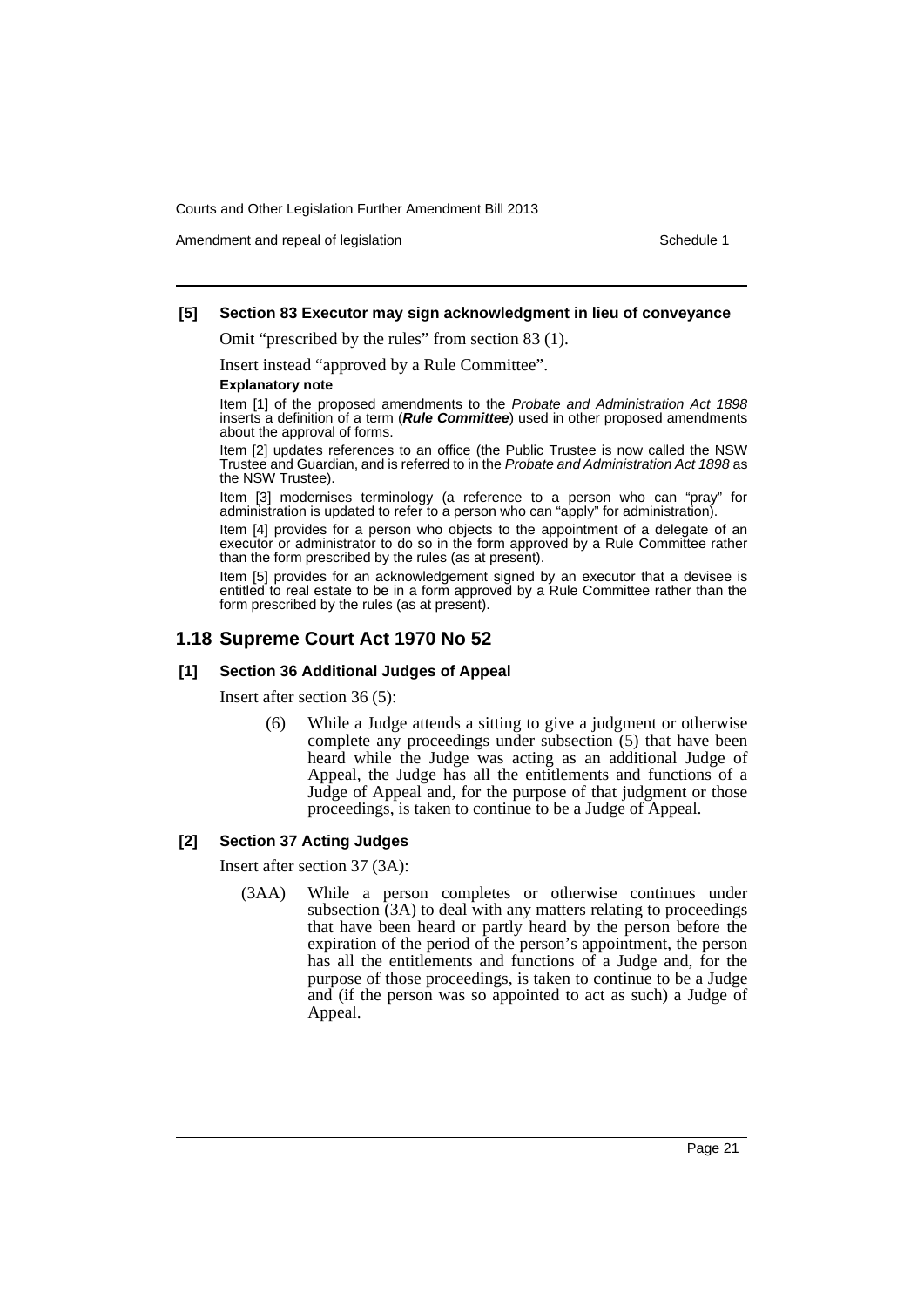Amendment and repeal of legislation Schedule 1 and the Schedule 1 set of legislation

### **[5] Section 83 Executor may sign acknowledgment in lieu of conveyance**

Omit "prescribed by the rules" from section 83 (1).

Insert instead "approved by a Rule Committee".

### **Explanatory note**

Item [1] of the proposed amendments to the *Probate and Administration Act 1898* inserts a definition of a term (*Rule Committee*) used in other proposed amendments about the approval of forms.

Item [2] updates references to an office (the Public Trustee is now called the NSW Trustee and Guardian, and is referred to in the *Probate and Administration Act 1898* as the NSW Trustee).

Item [3] modernises terminology (a reference to a person who can "pray" for administration is updated to refer to a person who can "apply" for administration).

Item [4] provides for a person who objects to the appointment of a delegate of an executor or administrator to do so in the form approved by a Rule Committee rather than the form prescribed by the rules (as at present).

Item [5] provides for an acknowledgement signed by an executor that a devisee is entitled to real estate to be in a form approved by a Rule Committee rather than the form prescribed by the rules (as at present).

# **1.18 Supreme Court Act 1970 No 52**

### **[1] Section 36 Additional Judges of Appeal**

Insert after section 36 (5):

(6) While a Judge attends a sitting to give a judgment or otherwise complete any proceedings under subsection (5) that have been heard while the Judge was acting as an additional Judge of Appeal, the Judge has all the entitlements and functions of a Judge of Appeal and, for the purpose of that judgment or those proceedings, is taken to continue to be a Judge of Appeal.

# **[2] Section 37 Acting Judges**

Insert after section 37 (3A):

(3AA) While a person completes or otherwise continues under subsection (3A) to deal with any matters relating to proceedings that have been heard or partly heard by the person before the expiration of the period of the person's appointment, the person has all the entitlements and functions of a Judge and, for the purpose of those proceedings, is taken to continue to be a Judge and (if the person was so appointed to act as such) a Judge of Appeal.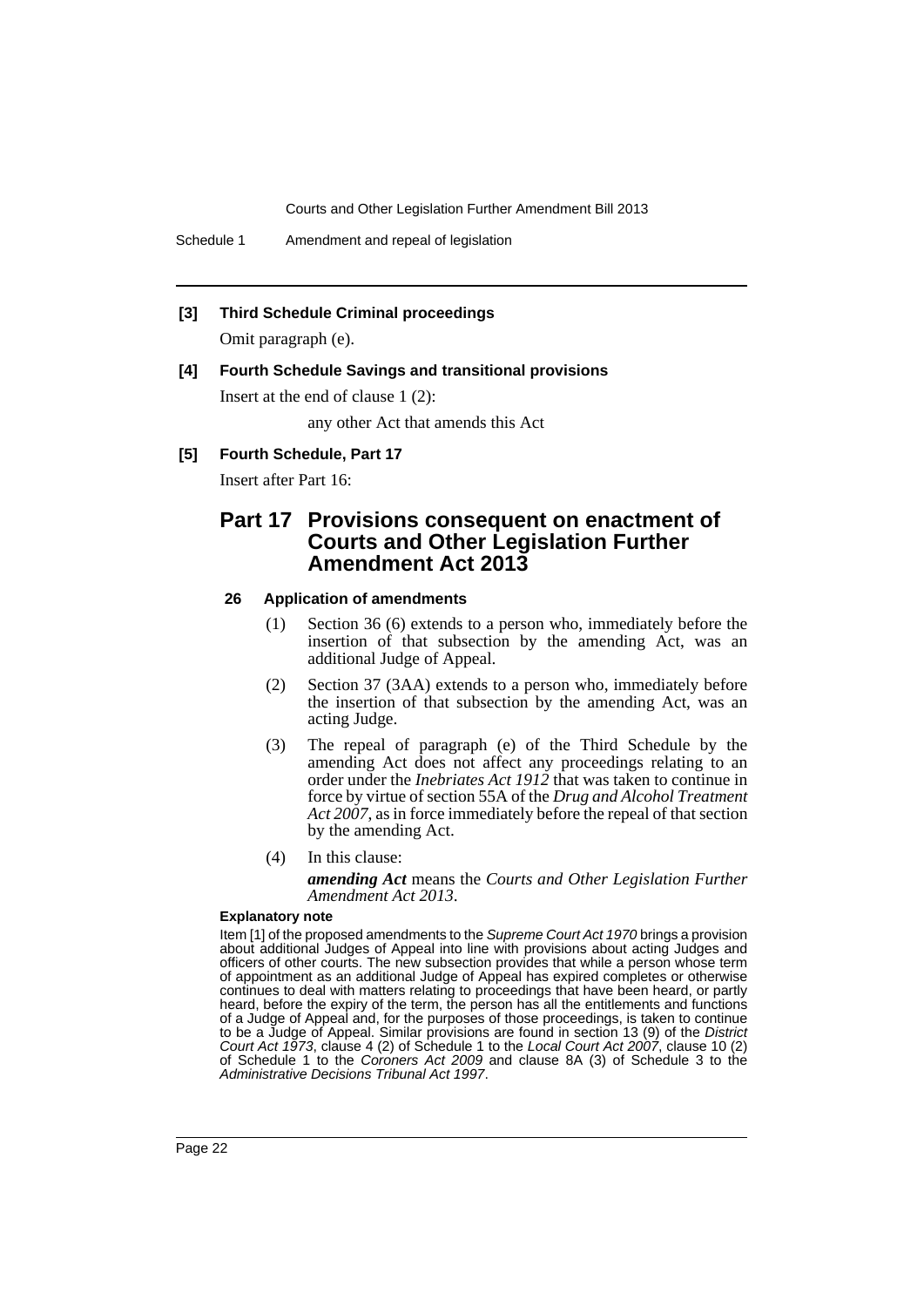Schedule 1 Amendment and repeal of legislation

### **[3] Third Schedule Criminal proceedings**

Omit paragraph (e).

### **[4] Fourth Schedule Savings and transitional provisions**

Insert at the end of clause 1 (2):

any other Act that amends this Act

### **[5] Fourth Schedule, Part 17**

Insert after Part 16:

# **Part 17 Provisions consequent on enactment of Courts and Other Legislation Further Amendment Act 2013**

### **26 Application of amendments**

- (1) Section 36 (6) extends to a person who, immediately before the insertion of that subsection by the amending Act, was an additional Judge of Appeal.
- (2) Section 37 (3AA) extends to a person who, immediately before the insertion of that subsection by the amending Act, was an acting Judge.
- (3) The repeal of paragraph (e) of the Third Schedule by the amending Act does not affect any proceedings relating to an order under the *Inebriates Act 1912* that was taken to continue in force by virtue of section 55A of the *Drug and Alcohol Treatment Act 2007*, as in force immediately before the repeal of that section by the amending Act.
- (4) In this clause:

*amending Act* means the *Courts and Other Legislation Further Amendment Act 2013*.

#### **Explanatory note**

Item [1] of the proposed amendments to the *Supreme Court Act 1970* brings a provision about additional Judges of Appeal into line with provisions about acting Judges and officers of other courts. The new subsection provides that while a person whose term of appointment as an additional Judge of Appeal has expired completes or otherwise continues to deal with matters relating to proceedings that have been heard, or partly heard, before the expiry of the term, the person has all the entitlements and functions of a Judge of Appeal and, for the purposes of those proceedings, is taken to continue to be a Judge of Appeal. Similar provisions are found in section 13 (9) of the *District Court Act 1973*, clause 4 (2) of Schedule 1 to the *Local Court Act 2007*, clause 10 (2) of Schedule 1 to the *Coroners Act 2009* and clause 8A (3) of Schedule 3 to the *Administrative Decisions Tribunal Act 1997*.